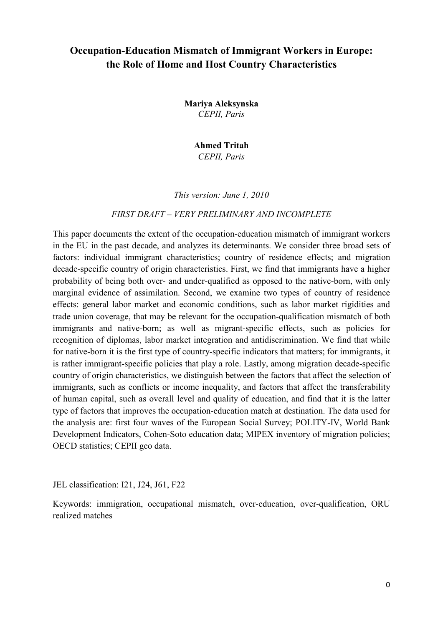# **Occupation-Education Mismatch of Immigrant Workers in Europe: the Role of Home and Host Country Characteristics**

**Mariya Aleksynska**  *CEPII, Paris* 

> **Ahmed Tritah**  *CEPII, Paris*

*This version: June 1, 2010* 

#### FIRST DRAFT - VERY PRELIMINARY AND INCOMPLETE

This paper documents the extent of the occupation-education mismatch of immigrant workers in the EU in the past decade, and analyzes its determinants. We consider three broad sets of factors: individual immigrant characteristics; country of residence effects; and migration decade-specific country of origin characteristics. First, we find that immigrants have a higher probability of being both over- and under-qualified as opposed to the native-born, with only marginal evidence of assimilation. Second, we examine two types of country of residence effects: general labor market and economic conditions, such as labor market rigidities and trade union coverage, that may be relevant for the occupation-qualification mismatch of both immigrants and native-born; as well as migrant-specific effects, such as policies for recognition of diplomas, labor market integration and antidiscrimination. We find that while for native-born it is the first type of country-specific indicators that matters; for immigrants, it is rather immigrant-specific policies that play a role. Lastly, among migration decade-specific country of origin characteristics, we distinguish between the factors that affect the selection of immigrants, such as conflicts or income inequality, and factors that affect the transferability of human capital, such as overall level and quality of education, and find that it is the latter type of factors that improves the occupation-education match at destination. The data used for the analysis are: first four waves of the European Social Survey; POLITY-IV, World Bank Development Indicators, Cohen-Soto education data; MIPEX inventory of migration policies; OECD statistics; CEPII geo data.

JEL classification: I21, J24, J61, F22

Keywords: immigration, occupational mismatch, over-education, over-qualification, ORU realized matches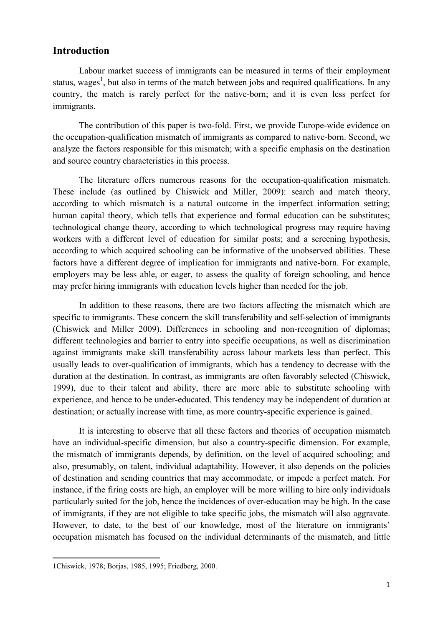## **Introduction**

Labour market success of immigrants can be measured in terms of their employment status, wages<sup>1</sup>, but also in terms of the match between jobs and required qualifications. In any country, the match is rarely perfect for the native-born; and it is even less perfect for immigrants.

The contribution of this paper is two-fold. First, we provide Europe-wide evidence on the occupation-qualification mismatch of immigrants as compared to native-born. Second, we analyze the factors responsible for this mismatch; with a specific emphasis on the destination and source country characteristics in this process.

The literature offers numerous reasons for the occupation-qualification mismatch. These include (as outlined by Chiswick and Miller, 2009): search and match theory, according to which mismatch is a natural outcome in the imperfect information setting; human capital theory, which tells that experience and formal education can be substitutes; technological change theory, according to which technological progress may require having workers with a different level of education for similar posts; and a screening hypothesis, according to which acquired schooling can be informative of the unobserved abilities. These factors have a different degree of implication for immigrants and native-born. For example, employers may be less able, or eager, to assess the quality of foreign schooling, and hence may prefer hiring immigrants with education levels higher than needed for the job.

In addition to these reasons, there are two factors affecting the mismatch which are specific to immigrants. These concern the skill transferability and self-selection of immigrants (Chiswick and Miller 2009). Differences in schooling and non-recognition of diplomas; different technologies and barrier to entry into specific occupations, as well as discrimination against immigrants make skill transferability across labour markets less than perfect. This usually leads to over-qualification of immigrants, which has a tendency to decrease with the duration at the destination. In contrast, as immigrants are often favorably selected (Chiswick, 1999), due to their talent and ability, there are more able to substitute schooling with experience, and hence to be under-educated. This tendency may be independent of duration at destination; or actually increase with time, as more country-specific experience is gained.

It is interesting to observe that all these factors and theories of occupation mismatch have an individual-specific dimension, but also a country-specific dimension. For example, the mismatch of immigrants depends, by definition, on the level of acquired schooling; and also, presumably, on talent, individual adaptability. However, it also depends on the policies of destination and sending countries that may accommodate, or impede a perfect match. For instance, if the firing costs are high, an employer will be more willing to hire only individuals particularly suited for the job, hence the incidences of over-education may be high. In the case of immigrants, if they are not eligible to take specific jobs, the mismatch will also aggravate. However, to date, to the best of our knowledge, most of the literature on immigrants' occupation mismatch has focused on the individual determinants of the mismatch, and little

<u>.</u>

<sup>1</sup>Chiswick, 1978; Borjas, 1985, 1995; Friedberg, 2000.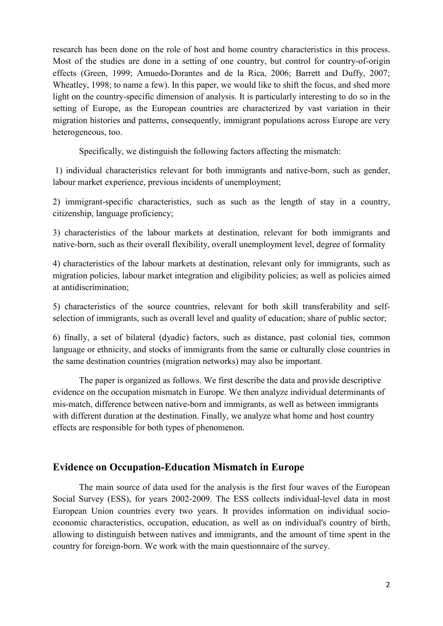research has been done on the role of host and home country characteristics in this process. Most of the studies are done in a setting of one country, but control for country-of-origin effects (Green, 1999; Amuedo-Dorantes and de la Rica, 2006; Barrett and Duffy, 2007; Wheatley, 1998; to name a few). In this paper, we would like to shift the focus, and shed more light on the country-specific dimension of analysis. It is particularly interesting to do so in the setting of Europe, as the European countries are characterized by vast variation in their migration histories and patterns, consequently, immigrant populations across Europe are very heterogeneous, too.

Specifically, we distinguish the following factors affecting the mismatch:

 1) individual characteristics relevant for both immigrants and native-born, such as gender, labour market experience, previous incidents of unemployment;

2) immigrant-specific characteristics, such as such as the length of stay in a country, citizenship, language proficiency;

3) characteristics of the labour markets at destination, relevant for both immigrants and native-born, such as their overall flexibility, overall unemployment level, degree of formality

4) characteristics of the labour markets at destination, relevant only for immigrants, such as migration policies, labour market integration and eligibility policies; as well as policies aimed at antidiscrimination;

5) characteristics of the source countries, relevant for both skill transferability and selfselection of immigrants, such as overall level and quality of education; share of public sector;

6) finally, a set of bilateral (dyadic) factors, such as distance, past colonial ties, common language or ethnicity, and stocks of immigrants from the same or culturally close countries in the same destination countries (migration networks) may also be important.

The paper is organized as follows. We first describe the data and provide descriptive evidence on the occupation mismatch in Europe. We then analyze individual determinants of mis-match, difference between native-born and immigrants, as well as between immigrants with different duration at the destination. Finally, we analyze what home and host country effects are responsible for both types of phenomenon.

### **Evidence on Occupation-Education Mismatch in Europe**

The main source of data used for the analysis is the first four waves of the European Social Survey (ESS), for years 2002-2009. The ESS collects individual-level data in most European Union countries every two years. It provides information on individual socioeconomic characteristics, occupation, education, as well as on individual's country of birth, allowing to distinguish between natives and immigrants, and the amount of time spent in the country for foreign-born. We work with the main questionnaire of the survey.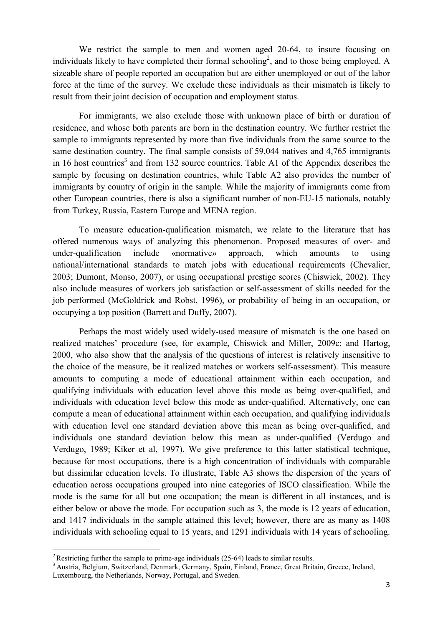We restrict the sample to men and women aged 20-64, to insure focusing on individuals likely to have completed their formal schooling<sup>2</sup>, and to those being employed. A sizeable share of people reported an occupation but are either unemployed or out of the labor force at the time of the survey. We exclude these individuals as their mismatch is likely to result from their joint decision of occupation and employment status.

For immigrants, we also exclude those with unknown place of birth or duration of residence, and whose both parents are born in the destination country. We further restrict the sample to immigrants represented by more than five individuals from the same source to the same destination country. The final sample consists of 59,044 natives and 4,765 immigrants in 16 host countries<sup>3</sup> and from 132 source countries. Table A1 of the Appendix describes the sample by focusing on destination countries, while Table A2 also provides the number of immigrants by country of origin in the sample. While the majority of immigrants come from other European countries, there is also a significant number of non-EU-15 nationals, notably from Turkey, Russia, Eastern Europe and MENA region.

To measure education-qualification mismatch, we relate to the literature that has offered numerous ways of analyzing this phenomenon. Proposed measures of over- and under-qualification include «normative» approach, which amounts to using national/international standards to match jobs with educational requirements (Chevalier, 2003; Dumont, Monso, 2007), or using occupational prestige scores (Chiswick, 2002). They also include measures of workers job satisfaction or self-assessment of skills needed for the job performed (McGoldrick and Robst, 1996), or probability of being in an occupation, or occupying a top position (Barrett and Duffy, 2007).

Perhaps the most widely used widely-used measure of mismatch is the one based on realized matches' procedure (see, for example, Chiswick and Miller, 2009c; and Hartog, 2000, who also show that the analysis of the questions of interest is relatively insensitive to the choice of the measure, be it realized matches or workers self-assessment). This measure amounts to computing a mode of educational attainment within each occupation, and qualifying individuals with education level above this mode as being over-qualified, and individuals with education level below this mode as under-qualified. Alternatively, one can compute a mean of educational attainment within each occupation, and qualifying individuals with education level one standard deviation above this mean as being over-qualified, and individuals one standard deviation below this mean as under-qualified (Verdugo and Verdugo, 1989; Kiker et al, 1997). We give preference to this latter statistical technique, because for most occupations, there is a high concentration of individuals with comparable but dissimilar education levels. To illustrate, Table A3 shows the dispersion of the years of education across occupations grouped into nine categories of ISCO classification. While the mode is the same for all but one occupation; the mean is different in all instances, and is either below or above the mode. For occupation such as 3, the mode is 12 years of education, and 1417 individuals in the sample attained this level; however, there are as many as 1408 individuals with schooling equal to 15 years, and 1291 individuals with 14 years of schooling.

<u>.</u>

<sup>&</sup>lt;sup>2</sup> Restricting further the sample to prime-age individuals (25-64) leads to similar results.

<sup>&</sup>lt;sup>3</sup> Austria, Belgium, Switzerland, Denmark, Germany, Spain, Finland, France, Great Britain, Greece, Ireland, Luxembourg, the Netherlands, Norway, Portugal, and Sweden.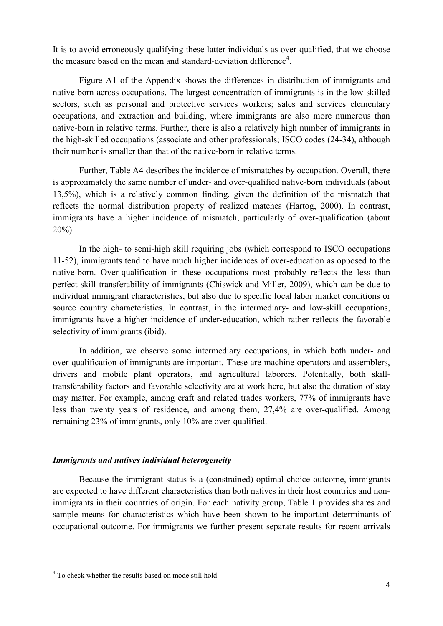It is to avoid erroneously qualifying these latter individuals as over-qualified, that we choose the measure based on the mean and standard-deviation difference<sup>4</sup>.

Figure A1 of the Appendix shows the differences in distribution of immigrants and native-born across occupations. The largest concentration of immigrants is in the low-skilled sectors, such as personal and protective services workers; sales and services elementary occupations, and extraction and building, where immigrants are also more numerous than native-born in relative terms. Further, there is also a relatively high number of immigrants in the high-skilled occupations (associate and other professionals; ISCO codes (24-34), although their number is smaller than that of the native-born in relative terms.

Further, Table A4 describes the incidence of mismatches by occupation. Overall, there is approximately the same number of under- and over-qualified native-born individuals (about 13,5%), which is a relatively common finding, given the definition of the mismatch that reflects the normal distribution property of realized matches (Hartog, 2000). In contrast, immigrants have a higher incidence of mismatch, particularly of over-qualification (about  $20\%$ ).

In the high- to semi-high skill requiring jobs (which correspond to ISCO occupations 11-52), immigrants tend to have much higher incidences of over-education as opposed to the native-born. Over-qualification in these occupations most probably reflects the less than perfect skill transferability of immigrants (Chiswick and Miller, 2009), which can be due to individual immigrant characteristics, but also due to specific local labor market conditions or source country characteristics. In contrast, in the intermediary- and low-skill occupations, immigrants have a higher incidence of under-education, which rather reflects the favorable selectivity of immigrants (ibid).

In addition, we observe some intermediary occupations, in which both under- and over-qualification of immigrants are important. These are machine operators and assemblers, drivers and mobile plant operators, and agricultural laborers. Potentially, both skilltransferability factors and favorable selectivity are at work here, but also the duration of stay may matter. For example, among craft and related trades workers, 77% of immigrants have less than twenty years of residence, and among them, 27,4% are over-qualified. Among remaining 23% of immigrants, only 10% are over-qualified.

### *Immigrants and natives individual heterogeneity*

Because the immigrant status is a (constrained) optimal choice outcome, immigrants are expected to have different characteristics than both natives in their host countries and nonimmigrants in their countries of origin. For each nativity group, Table 1 provides shares and sample means for characteristics which have been shown to be important determinants of occupational outcome. For immigrants we further present separate results for recent arrivals

-

<sup>&</sup>lt;sup>4</sup> To check whether the results based on mode still hold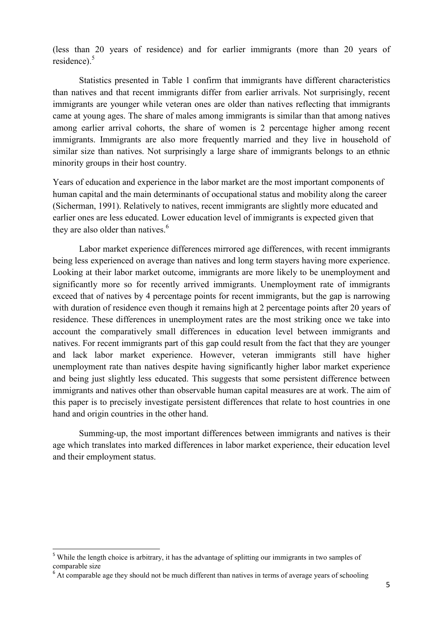(less than 20 years of residence) and for earlier immigrants (more than 20 years of residence).<sup>5</sup>

Statistics presented in Table 1 confirm that immigrants have different characteristics than natives and that recent immigrants differ from earlier arrivals. Not surprisingly, recent immigrants are younger while veteran ones are older than natives reflecting that immigrants came at young ages. The share of males among immigrants is similar than that among natives among earlier arrival cohorts, the share of women is 2 percentage higher among recent immigrants. Immigrants are also more frequently married and they live in household of similar size than natives. Not surprisingly a large share of immigrants belongs to an ethnic minority groups in their host country.

Years of education and experience in the labor market are the most important components of human capital and the main determinants of occupational status and mobility along the career (Sicherman, 1991). Relatively to natives, recent immigrants are slightly more educated and earlier ones are less educated. Lower education level of immigrants is expected given that they are also older than natives.<sup>6</sup>

Labor market experience differences mirrored age differences, with recent immigrants being less experienced on average than natives and long term stayers having more experience. Looking at their labor market outcome, immigrants are more likely to be unemployment and significantly more so for recently arrived immigrants. Unemployment rate of immigrants exceed that of natives by 4 percentage points for recent immigrants, but the gap is narrowing with duration of residence even though it remains high at 2 percentage points after 20 years of residence. These differences in unemployment rates are the most striking once we take into account the comparatively small differences in education level between immigrants and natives. For recent immigrants part of this gap could result from the fact that they are younger and lack labor market experience. However, veteran immigrants still have higher unemployment rate than natives despite having significantly higher labor market experience and being just slightly less educated. This suggests that some persistent difference between immigrants and natives other than observable human capital measures are at work. The aim of this paper is to precisely investigate persistent differences that relate to host countries in one hand and origin countries in the other hand.

Summing-up, the most important differences between immigrants and natives is their age which translates into marked differences in labor market experience, their education level and their employment status.

<u>.</u>

<sup>&</sup>lt;sup>5</sup> While the length choice is arbitrary, it has the advantage of splitting our immigrants in two samples of comparable size

 $6$  At comparable age they should not be much different than natives in terms of average years of schooling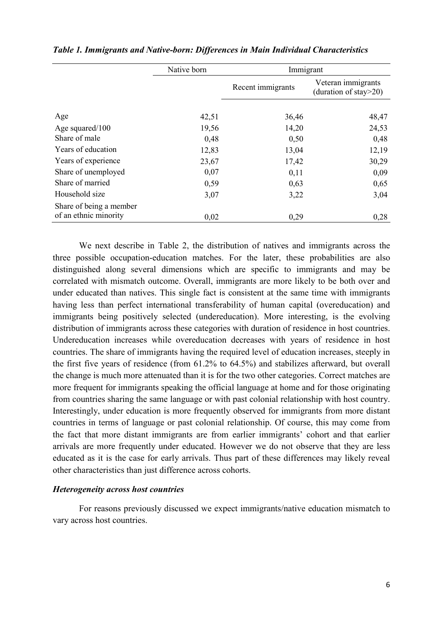|                         | Native born | Immigrant         |                                                 |
|-------------------------|-------------|-------------------|-------------------------------------------------|
|                         |             | Recent immigrants | Veteran immigrants<br>(duration of stay $>20$ ) |
|                         |             |                   |                                                 |
| Age                     | 42,51       | 36,46             | 48,47                                           |
| Age squared/100         | 19,56       | 14,20             | 24,53                                           |
| Share of male           | 0,48        | 0,50              | 0,48                                            |
| Years of education      | 12,83       | 13,04             | 12,19                                           |
| Years of experience     | 23,67       | 17,42             | 30,29                                           |
| Share of unemployed     | 0,07        | 0,11              | 0,09                                            |
| Share of married        | 0,59        | 0,63              | 0,65                                            |
| Household size          | 3,07        | 3,22              | 3,04                                            |
| Share of being a member |             |                   |                                                 |
| of an ethnic minority   | 0,02        | 0,29              | 0,28                                            |

**Table 1. Immigrants and Native-born: Differences in Main Individual Characteristics** 

We next describe in Table 2, the distribution of natives and immigrants across the three possible occupation-education matches. For the later, these probabilities are also distinguished along several dimensions which are specific to immigrants and may be correlated with mismatch outcome. Overall, immigrants are more likely to be both over and under educated than natives. This single fact is consistent at the same time with immigrants having less than perfect international transferability of human capital (overeducation) and immigrants being positively selected (undereducation). More interesting, is the evolving distribution of immigrants across these categories with duration of residence in host countries. Undereducation increases while overeducation decreases with years of residence in host countries. The share of immigrants having the required level of education increases, steeply in the first five years of residence (from 61.2% to 64.5%) and stabilizes afterward, but overall the change is much more attenuated than it is for the two other categories. Correct matches are more frequent for immigrants speaking the official language at home and for those originating from countries sharing the same language or with past colonial relationship with host country. Interestingly, under education is more frequently observed for immigrants from more distant countries in terms of language or past colonial relationship. Of course, this may come from the fact that more distant immigrants are from earlier immigrants' cohort and that earlier arrivals are more frequently under educated. However we do not observe that they are less educated as it is the case for early arrivals. Thus part of these differences may likely reveal other characteristics than just difference across cohorts.

#### *Heterogeneity across host countries*

For reasons previously discussed we expect immigrants/native education mismatch to vary across host countries.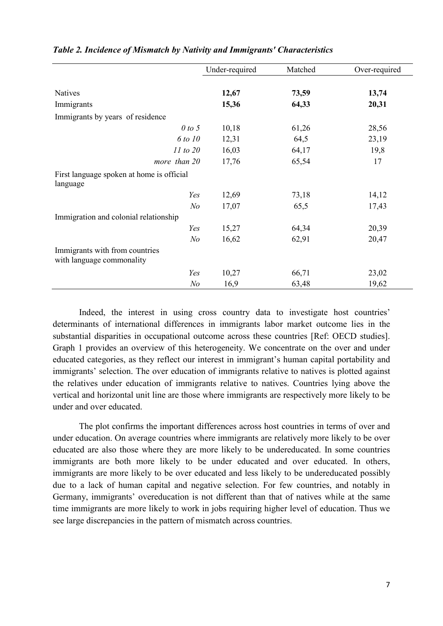|                                                             | Under-required | Matched | Over-required |
|-------------------------------------------------------------|----------------|---------|---------------|
|                                                             |                |         |               |
| <b>Natives</b>                                              | 12,67          | 73,59   | 13,74         |
| Immigrants                                                  | 15,36          | 64,33   | 20,31         |
| Immigrants by years of residence                            |                |         |               |
| 0 to 5                                                      | 10,18          | 61,26   | 28,56         |
| 6 to 10                                                     | 12,31          | 64,5    | 23,19         |
| 11 to 20                                                    | 16,03          | 64,17   | 19,8          |
| more than 20                                                | 17,76          | 65,54   | 17            |
| First language spoken at home is official                   |                |         |               |
| language                                                    |                |         |               |
| Yes                                                         | 12,69          | 73,18   | 14,12         |
| $N$ o                                                       | 17,07          | 65,5    | 17,43         |
| Immigration and colonial relationship                       |                |         |               |
| Yes                                                         | 15,27          | 64,34   | 20,39         |
| N <sub>o</sub>                                              | 16,62          | 62,91   | 20,47         |
| Immigrants with from countries<br>with language commonality |                |         |               |
| Yes                                                         | 10,27          | 66,71   | 23,02         |
| N <sub>o</sub>                                              | 16,9           | 63,48   | 19,62         |

#### *Table 2. Incidence of Mismatch by Nativity and Immigrants' Characteristics*

Indeed, the interest in using cross country data to investigate host countries' determinants of international differences in immigrants labor market outcome lies in the substantial disparities in occupational outcome across these countries [Ref: OECD studies]. Graph 1 provides an overview of this heterogeneity. We concentrate on the over and under educated categories, as they reflect our interest in immigrant's human capital portability and immigrants' selection. The over education of immigrants relative to natives is plotted against the relatives under education of immigrants relative to natives. Countries lying above the vertical and horizontal unit line are those where immigrants are respectively more likely to be under and over educated.

The plot confirms the important differences across host countries in terms of over and under education. On average countries where immigrants are relatively more likely to be over educated are also those where they are more likely to be undereducated. In some countries immigrants are both more likely to be under educated and over educated. In others, immigrants are more likely to be over educated and less likely to be undereducated possibly due to a lack of human capital and negative selection. For few countries, and notably in Germany, immigrants' overeducation is not different than that of natives while at the same time immigrants are more likely to work in jobs requiring higher level of education. Thus we see large discrepancies in the pattern of mismatch across countries.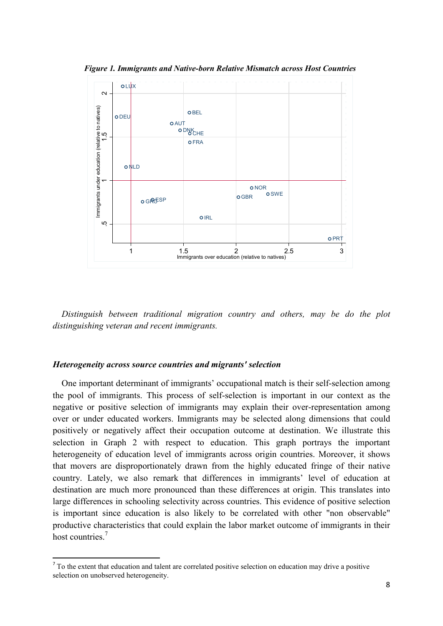**Figure 1. Immigrants and Native-born Relative Mismatch across Host Countries** 



 *Distinguish between traditional migration country and others, may be do the plot distinguishing veteran and recent immigrants.* 

#### *Heterogeneity across source countries and migrants' selection*

<u>.</u>

 One important determinant of immigrants' occupational match is their self-selection among the pool of immigrants. This process of self-selection is important in our context as the negative or positive selection of immigrants may explain their over-representation among over or under educated workers. Immigrants may be selected along dimensions that could positively or negatively affect their occupation outcome at destination. We illustrate this selection in Graph 2 with respect to education. This graph portrays the important heterogeneity of education level of immigrants across origin countries. Moreover, it shows that movers are disproportionately drawn from the highly educated fringe of their native country. Lately, we also remark that differences in immigrants' level of education at destination are much more pronounced than these differences at origin. This translates into large differences in schooling selectivity across countries. This evidence of positive selection is important since education is also likely to be correlated with other "non observable" productive characteristics that could explain the labor market outcome of immigrants in their host countries<sup>7</sup>

<sup>&</sup>lt;sup>7</sup> To the extent that education and talent are correlated positive selection on education may drive a positive selection on unobserved heterogeneity.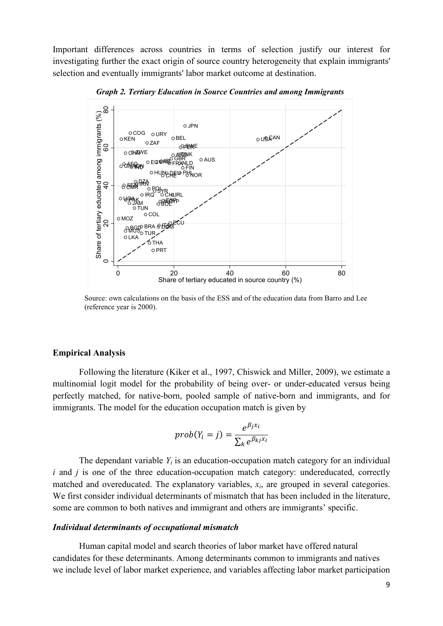Important differences across countries in terms of selection justify our interest for investigating further the exact origin of source country heterogeneity that explain immigrants' selection and eventually immigrants' labor market outcome at destination.



*Graph 2. Tertiary Education in Source Countries and among Immigrants* 

Source: own calculations on the basis of the ESS and of the education data from Barro and Lee (reference year is 2000).

#### **Empirical Analysis**

Following the literature (Kiker et al., 1997, Chiswick and Miller, 2009), we estimate a multinomial logit model for the probability of being over- or under-educated versus being perfectly matched, for native-born, pooled sample of native-born and immigrants, and for immigrants. The model for the education occupation match is given by

$$
prob(Y_i = j) = \frac{e^{\beta_j x_i}}{\sum_k e^{\beta_{kj} x_i}}
$$

The dependant variable  $Y_i$  is an education-occupation match category for an individual *i* and *j* is one of the three education-occupation match category: undereducated, correctly matched and overeducated. The explanatory variables,  $x_i$ , are grouped in several categories. We first consider individual determinants of mismatch that has been included in the literature, some are common to both natives and immigrant and others are immigrants' specific.

#### *Individual determinants of occupational mismatch*

Human capital model and search theories of labor market have offered natural candidates for these determinants. Among determinants common to immigrants and natives we include level of labor market experience, and variables affecting labor market participation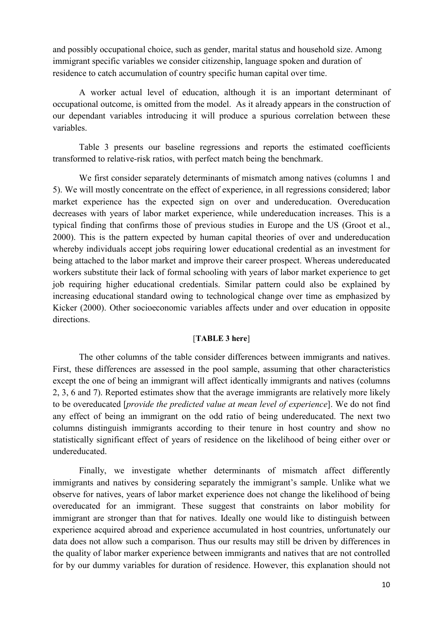and possibly occupational choice, such as gender, marital status and household size. Among immigrant specific variables we consider citizenship, language spoken and duration of residence to catch accumulation of country specific human capital over time.

A worker actual level of education, although it is an important determinant of occupational outcome, is omitted from the model. As it already appears in the construction of our dependant variables introducing it will produce a spurious correlation between these variables.

Table 3 presents our baseline regressions and reports the estimated coefficients transformed to relative-risk ratios, with perfect match being the benchmark.

We first consider separately determinants of mismatch among natives (columns 1 and 5). We will mostly concentrate on the effect of experience, in all regressions considered; labor market experience has the expected sign on over and undereducation. Overeducation decreases with years of labor market experience, while undereducation increases. This is a typical finding that confirms those of previous studies in Europe and the US (Groot et al., 2000). This is the pattern expected by human capital theories of over and undereducation whereby individuals accept jobs requiring lower educational credential as an investment for being attached to the labor market and improve their career prospect. Whereas undereducated workers substitute their lack of formal schooling with years of labor market experience to get job requiring higher educational credentials. Similar pattern could also be explained by increasing educational standard owing to technological change over time as emphasized by Kicker (2000). Other socioeconomic variables affects under and over education in opposite directions.

#### [**TABLE 3 here**]

The other columns of the table consider differences between immigrants and natives. First, these differences are assessed in the pool sample, assuming that other characteristics except the one of being an immigrant will affect identically immigrants and natives (columns 2, 3, 6 and 7). Reported estimates show that the average immigrants are relatively more likely to be overeducated [*provide the predicted value at mean level of experience*]. We do not find any effect of being an immigrant on the odd ratio of being undereducated. The next two columns distinguish immigrants according to their tenure in host country and show no statistically significant effect of years of residence on the likelihood of being either over or undereducated.

Finally, we investigate whether determinants of mismatch affect differently immigrants and natives by considering separately the immigrant's sample. Unlike what we observe for natives, years of labor market experience does not change the likelihood of being overeducated for an immigrant. These suggest that constraints on labor mobility for immigrant are stronger than that for natives. Ideally one would like to distinguish between experience acquired abroad and experience accumulated in host countries, unfortunately our data does not allow such a comparison. Thus our results may still be driven by differences in the quality of labor marker experience between immigrants and natives that are not controlled for by our dummy variables for duration of residence. However, this explanation should not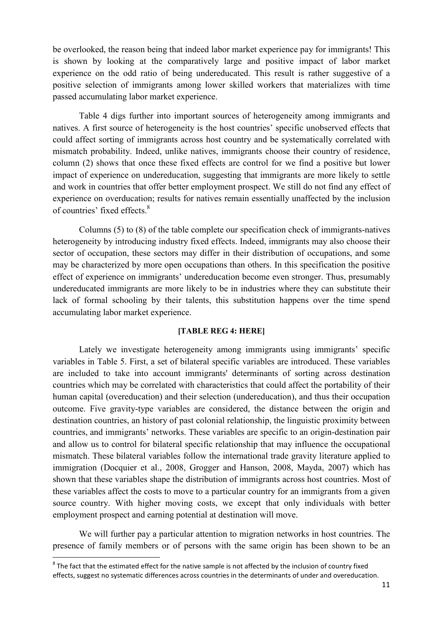be overlooked, the reason being that indeed labor market experience pay for immigrants! This is shown by looking at the comparatively large and positive impact of labor market experience on the odd ratio of being undereducated. This result is rather suggestive of a positive selection of immigrants among lower skilled workers that materializes with time passed accumulating labor market experience.

Table 4 digs further into important sources of heterogeneity among immigrants and natives. A first source of heterogeneity is the host countries' specific unobserved effects that could affect sorting of immigrants across host country and be systematically correlated with mismatch probability. Indeed, unlike natives, immigrants choose their country of residence, column (2) shows that once these fixed effects are control for we find a positive but lower impact of experience on undereducation, suggesting that immigrants are more likely to settle and work in countries that offer better employment prospect. We still do not find any effect of experience on overducation; results for natives remain essentially unaffected by the inclusion of countries' fixed effects.<sup>8</sup>

Columns (5) to (8) of the table complete our specification check of immigrants-natives heterogeneity by introducing industry fixed effects. Indeed, immigrants may also choose their sector of occupation, these sectors may differ in their distribution of occupations, and some may be characterized by more open occupations than others. In this specification the positive effect of experience on immigrants' undereducation become even stronger. Thus, presumably undereducated immigrants are more likely to be in industries where they can substitute their lack of formal schooling by their talents, this substitution happens over the time spend accumulating labor market experience.

#### **[TABLE REG 4: HERE]**

Lately we investigate heterogeneity among immigrants using immigrants' specific variables in Table 5. First, a set of bilateral specific variables are introduced. These variables are included to take into account immigrants' determinants of sorting across destination countries which may be correlated with characteristics that could affect the portability of their human capital (overeducation) and their selection (undereducation), and thus their occupation outcome. Five gravity-type variables are considered, the distance between the origin and destination countries, an history of past colonial relationship, the linguistic proximity between countries, and immigrants' networks. These variables are specific to an origin-destination pair and allow us to control for bilateral specific relationship that may influence the occupational mismatch. These bilateral variables follow the international trade gravity literature applied to immigration (Docquier et al., 2008, Grogger and Hanson, 2008, Mayda, 2007) which has shown that these variables shape the distribution of immigrants across host countries. Most of these variables affect the costs to move to a particular country for an immigrants from a given source country. With higher moving costs, we except that only individuals with better employment prospect and earning potential at destination will move.

We will further pay a particular attention to migration networks in host countries. The presence of family members or of persons with the same origin has been shown to be an

<u>.</u>

 $8$  The fact that the estimated effect for the native sample is not affected by the inclusion of country fixed effects, suggest no systematic differences across countries in the determinants of under and overeducation.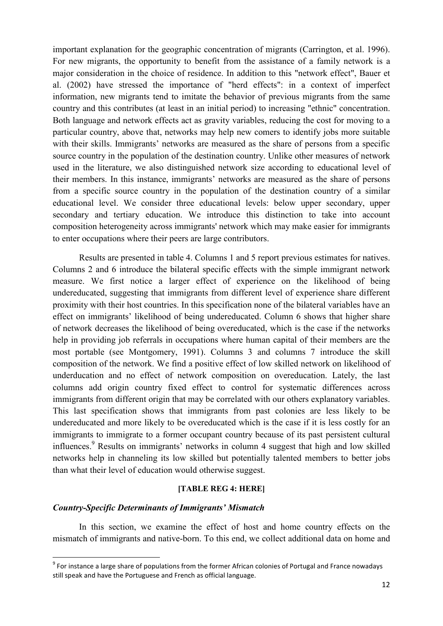important explanation for the geographic concentration of migrants (Carrington, et al. 1996). For new migrants, the opportunity to benefit from the assistance of a family network is a major consideration in the choice of residence. In addition to this "network effect", Bauer et al. (2002) have stressed the importance of "herd effects": in a context of imperfect information, new migrants tend to imitate the behavior of previous migrants from the same country and this contributes (at least in an initial period) to increasing "ethnic" concentration. Both language and network effects act as gravity variables, reducing the cost for moving to a particular country, above that, networks may help new comers to identify jobs more suitable with their skills. Immigrants' networks are measured as the share of persons from a specific source country in the population of the destination country. Unlike other measures of network used in the literature, we also distinguished network size according to educational level of their members. In this instance, immigrants' networks are measured as the share of persons from a specific source country in the population of the destination country of a similar educational level. We consider three educational levels: below upper secondary, upper secondary and tertiary education. We introduce this distinction to take into account composition heterogeneity across immigrants' network which may make easier for immigrants to enter occupations where their peers are large contributors.

Results are presented in table 4. Columns 1 and 5 report previous estimates for natives. Columns 2 and 6 introduce the bilateral specific effects with the simple immigrant network measure. We first notice a larger effect of experience on the likelihood of being undereducated, suggesting that immigrants from different level of experience share different proximity with their host countries. In this specification none of the bilateral variables have an effect on immigrants' likelihood of being undereducated. Column 6 shows that higher share of network decreases the likelihood of being overeducated, which is the case if the networks help in providing job referrals in occupations where human capital of their members are the most portable (see Montgomery, 1991). Columns 3 and columns 7 introduce the skill composition of the network. We find a positive effect of low skilled network on likelihood of underducation and no effect of network composition on overeducation. Lately, the last columns add origin country fixed effect to control for systematic differences across immigrants from different origin that may be correlated with our others explanatory variables. This last specification shows that immigrants from past colonies are less likely to be undereducated and more likely to be overeducated which is the case if it is less costly for an immigrants to immigrate to a former occupant country because of its past persistent cultural influences.<sup>9</sup> Results on immigrants' networks in column 4 suggest that high and low skilled networks help in channeling its low skilled but potentially talented members to better jobs than what their level of education would otherwise suggest.

#### **[TABLE REG 4: HERE]**

#### *Country-Specific Determinants of Immigrants' Mismatch*

<u>.</u>

In this section, we examine the effect of host and home country effects on the mismatch of immigrants and native-born. To this end, we collect additional data on home and

<sup>&</sup>lt;sup>9</sup> For instance a large share of populations from the former African colonies of Portugal and France nowadays still speak and have the Portuguese and French as official language.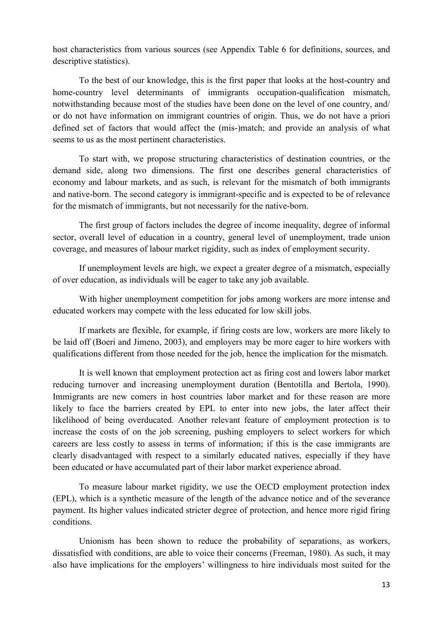host characteristics from various sources (see Appendix Table 6 for definitions, sources, and descriptive statistics).

To the best of our knowledge, this is the first paper that looks at the host-country and home-country level determinants of immigrants occupation-qualification mismatch, notwithstanding because most of the studies have been done on the level of one country, and/ or do not have information on immigrant countries of origin. Thus, we do not have a priori defined set of factors that would affect the (mis-)match; and provide an analysis of what seems to us as the most pertinent characteristics.

To start with, we propose structuring characteristics of destination countries, or the demand side, along two dimensions. The first one describes general characteristics of economy and labour markets, and as such, is relevant for the mismatch of both immigrants and native-born. The second category is immigrant-specific and is expected to be of relevance for the mismatch of immigrants, but not necessarily for the native-born.

The first group of factors includes the degree of income inequality, degree of informal sector, overall level of education in a country, general level of unemployment, trade union coverage, and measures of labour market rigidity, such as index of employment security.

If unemployment levels are high, we expect a greater degree of a mismatch, especially of over education, as individuals will be eager to take any job available.

With higher unemployment competition for jobs among workers are more intense and educated workers may compete with the less educated for low skill jobs.

If markets are flexible, for example, if firing costs are low, workers are more likely to be laid off (Boeri and Jimeno, 2003), and employers may be more eager to hire workers with qualifications different from those needed for the job, hence the implication for the mismatch.

It is well known that employment protection act as firing cost and lowers labor market reducing turnover and increasing unemployment duration (Bentotilla and Bertola, 1990). Immigrants are new comers in host countries labor market and for these reason are more likely to face the barriers created by EPL to enter into new jobs, the later affect their likelihood of being overducated. Another relevant feature of employment protection is to increase the costs of on the job screening, pushing employers to select workers for which careers are less costly to assess in terms of information; if this is the case immigrants are clearly disadvantaged with respect to a similarly educated natives, especially if they have been educated or have accumulated part of their labor market experience abroad.

To measure labour market rigidity, we use the OECD employment protection index (EPL), which is a synthetic measure of the length of the advance notice and of the severance payment. Its higher values indicated stricter degree of protection, and hence more rigid firing conditions.

Unionism has been shown to reduce the probability of separations, as workers, dissatisfied with conditions, are able to voice their concerns (Freeman, 1980). As such, it may also have implications for the employers' willingness to hire individuals most suited for the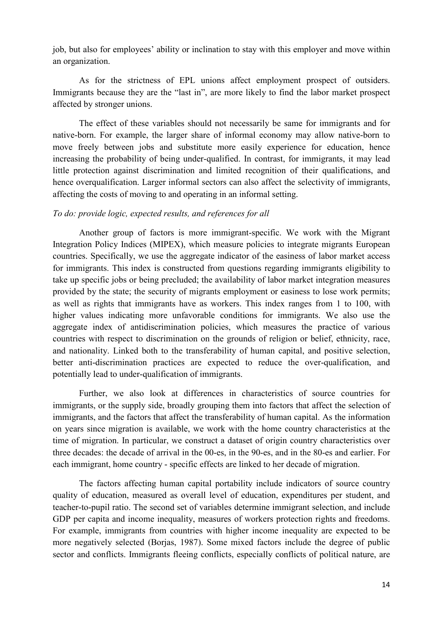job, but also for employees' ability or inclination to stay with this employer and move within an organization.

As for the strictness of EPL unions affect employment prospect of outsiders. Immigrants because they are the "last in", are more likely to find the labor market prospect affected by stronger unions.

The effect of these variables should not necessarily be same for immigrants and for native-born. For example, the larger share of informal economy may allow native-born to move freely between jobs and substitute more easily experience for education, hence increasing the probability of being under-qualified. In contrast, for immigrants, it may lead little protection against discrimination and limited recognition of their qualifications, and hence overqualification. Larger informal sectors can also affect the selectivity of immigrants, affecting the costs of moving to and operating in an informal setting.

#### *To do: provide logic, expected results, and references for all*

Another group of factors is more immigrant-specific. We work with the Migrant Integration Policy Indices (MIPEX), which measure policies to integrate migrants European countries. Specifically, we use the aggregate indicator of the easiness of labor market access for immigrants. This index is constructed from questions regarding immigrants eligibility to take up specific jobs or being precluded; the availability of labor market integration measures provided by the state; the security of migrants employment or easiness to lose work permits; as well as rights that immigrants have as workers. This index ranges from 1 to 100, with higher values indicating more unfavorable conditions for immigrants. We also use the aggregate index of antidiscrimination policies, which measures the practice of various countries with respect to discrimination on the grounds of religion or belief, ethnicity, race, and nationality. Linked both to the transferability of human capital, and positive selection, better anti-discrimination practices are expected to reduce the over-qualification, and potentially lead to under-qualification of immigrants.

Further, we also look at differences in characteristics of source countries for immigrants, or the supply side, broadly grouping them into factors that affect the selection of immigrants, and the factors that affect the transferability of human capital. As the information on years since migration is available, we work with the home country characteristics at the time of migration. In particular, we construct a dataset of origin country characteristics over three decades: the decade of arrival in the 00-es, in the 90-es, and in the 80-es and earlier. For each immigrant, home country - specific effects are linked to her decade of migration.

The factors affecting human capital portability include indicators of source country quality of education, measured as overall level of education, expenditures per student, and teacher-to-pupil ratio. The second set of variables determine immigrant selection, and include GDP per capita and income inequality, measures of workers protection rights and freedoms. For example, immigrants from countries with higher income inequality are expected to be more negatively selected (Borjas, 1987). Some mixed factors include the degree of public sector and conflicts. Immigrants fleeing conflicts, especially conflicts of political nature, are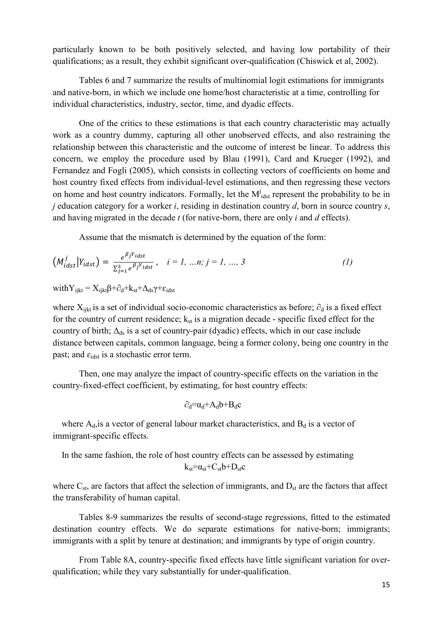particularly known to be both positively selected, and having low portability of their qualifications; as a result, they exhibit significant over-qualification (Chiswick et al, 2002).

Tables 6 and 7 summarize the results of multinomial logit estimations for immigrants and native-born, in which we include one home/host characteristic at a time, controlling for individual characteristics, industry, sector, time, and dyadic effects.

One of the critics to these estimations is that each country characteristic may actually work as a country dummy, capturing all other unobserved effects, and also restraining the relationship between this characteristic and the outcome of interest be linear. To address this concern, we employ the procedure used by Blau (1991), Card and Krueger (1992), and Fernandez and Fogli (2005), which consists in collecting vectors of coefficients on home and host country fixed effects from individual-level estimations, and then regressing these vectors on home and host country indicators. Formally, let the  $M<sup>j</sup><sub>idst</sub>$  represent the probability to be in *j* education category for a worker *i*, residing in destination country *d*, born in source country *s*, and having migrated in the decade *t* (for native-born, there are only *i* and *d* effects).

Assume that the mismatch is determined by the equation of the form:

$$
\left(M_{idst}^j \middle| Y_{idst}\right) = \frac{e^{\beta_j Y_{idst}}}{\sum_{j=1}^3 e^{\beta_j Y_{idst}}}, \quad i = 1, ..., n; j = 1, ..., 3 \tag{1}
$$

with  $Y_{i\text{ikt}} = X_{i\text{ikt}}\beta + \partial_d + k_{\text{st}} + \Delta_{\text{ds}}\gamma + \varepsilon_{\text{idst}}$ 

where  $X_{iikt}$  is a set of individual socio-economic characteristics as before;  $\partial_d$  is a fixed effect for the country of current residence;  $k_{st}$  is a migration decade - specific fixed effect for the country of birth;  $\Delta_{ds}$  is a set of country-pair (dyadic) effects, which in our case include distance between capitals, common language, being a former colony, being one country in the past; and  $\varepsilon_{\text{idx}}$  is a stochastic error term.

Then, one may analyze the impact of country-specific effects on the variation in the country-fixed-effect coefficient, by estimating, for host country effects:

$$
\partial_d = \alpha_d + A_d b + B_d c
$$

where  $A_d$ , is a vector of general labour market characteristics, and  $B_d$  is a vector of immigrant-specific effects.

In the same fashion, the role of host country effects can be assessed by estimating 
$$
k_{st} = \alpha_{st} + C_{st}b + D_{st}c
$$

where  $C_{st}$ , are factors that affect the selection of immigrants, and  $D_{st}$  are the factors that affect the transferability of human capital.

Tables 8-9 summarizes the results of second-stage regressions, fitted to the estimated destination country effects. We do separate estimations for native-born; immigrants; immigrants with a split by tenure at destination; and immigrants by type of origin country.

From Table 8A, country-specific fixed effects have little significant variation for overqualification; while they vary substantially for under-qualification.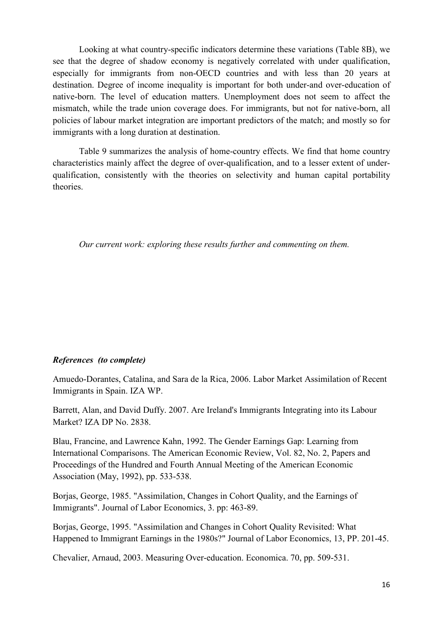Looking at what country-specific indicators determine these variations (Table 8B), we see that the degree of shadow economy is negatively correlated with under qualification, especially for immigrants from non-OECD countries and with less than 20 years at destination. Degree of income inequality is important for both under-and over-education of native-born. The level of education matters. Unemployment does not seem to affect the mismatch, while the trade union coverage does. For immigrants, but not for native-born, all policies of labour market integration are important predictors of the match; and mostly so for immigrants with a long duration at destination.

Table 9 summarizes the analysis of home-country effects. We find that home country characteristics mainly affect the degree of over-qualification, and to a lesser extent of underqualification, consistently with the theories on selectivity and human capital portability theories.

*Our current work: exploring these results further and commenting on them.* 

#### *References (to complete)*

Amuedo-Dorantes, Catalina, and Sara de la Rica, 2006. Labor Market Assimilation of Recent Immigrants in Spain. IZA WP.

Barrett, Alan, and David Duffy. 2007. Are Ireland's Immigrants Integrating into its Labour Market? IZA DP No. 2838.

Blau, Francine, and Lawrence Kahn, 1992. The Gender Earnings Gap: Learning from International Comparisons. The American Economic Review, Vol. 82, No. 2, Papers and Proceedings of the Hundred and Fourth Annual Meeting of the American Economic Association (May, 1992), pp. 533-538.

Borjas, George, 1985. "Assimilation, Changes in Cohort Quality, and the Earnings of Immigrants". Journal of Labor Economics, 3. pp: 463-89.

Borjas, George, 1995. "Assimilation and Changes in Cohort Quality Revisited: What Happened to Immigrant Earnings in the 1980s?" Journal of Labor Economics, 13, PP. 201-45.

Chevalier, Arnaud, 2003. Measuring Over-education. Economica. 70, pp. 509-531.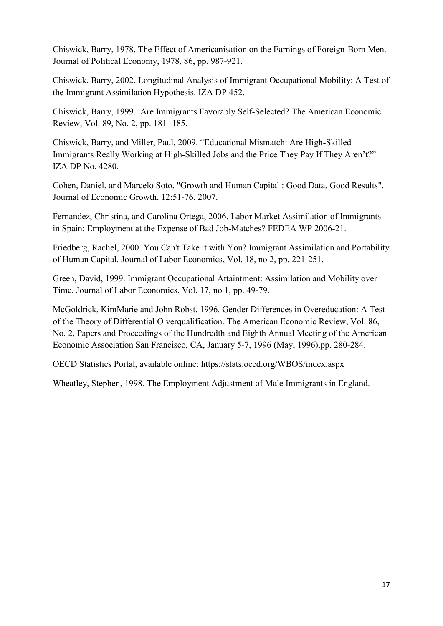Chiswick, Barry, 1978. The Effect of Americanisation on the Earnings of Foreign-Born Men. Journal of Political Economy, 1978, 86, pp. 987-921.

Chiswick, Barry, 2002. Longitudinal Analysis of Immigrant Occupational Mobility: A Test of the Immigrant Assimilation Hypothesis. IZA DP 452.

Chiswick, Barry, 1999. Are Immigrants Favorably Self-Selected? The American Economic Review, Vol. 89, No. 2, pp. 181 -185.

Chiswick, Barry, and Miller, Paul, 2009. "Educational Mismatch: Are High-Skilled Immigrants Really Working at High-Skilled Jobs and the Price They Pay If They Aren't?" IZA DP No. 4280.

Cohen, Daniel, and Marcelo Soto, "Growth and Human Capital : Good Data, Good Results", Journal of Economic Growth, 12:51-76, 2007.

Fernandez, Christina, and Carolina Ortega, 2006. Labor Market Assimilation of Immigrants in Spain: Employment at the Expense of Bad Job-Matches? FEDEA WP 2006-21.

Friedberg, Rachel, 2000. You Can't Take it with You? Immigrant Assimilation and Portability of Human Capital. Journal of Labor Economics, Vol. 18, no 2, pp. 221-251.

Green, David, 1999. Immigrant Occupational Attaintment: Assimilation and Mobility over Time. Journal of Labor Economics. Vol. 17, no 1, pp. 49-79.

McGoldrick, KimMarie and John Robst, 1996. Gender Differences in Overeducation: A Test of the Theory of Differential O verqualification. The American Economic Review, Vol. 86, No. 2, Papers and Proceedings of the Hundredth and Eighth Annual Meeting of the American Economic Association San Francisco, CA, January 5-7, 1996 (May, 1996),pp. 280-284.

OECD Statistics Portal, available online: https://stats.oecd.org/WBOS/index.aspx

Wheatley, Stephen, 1998. The Employment Adjustment of Male Immigrants in England.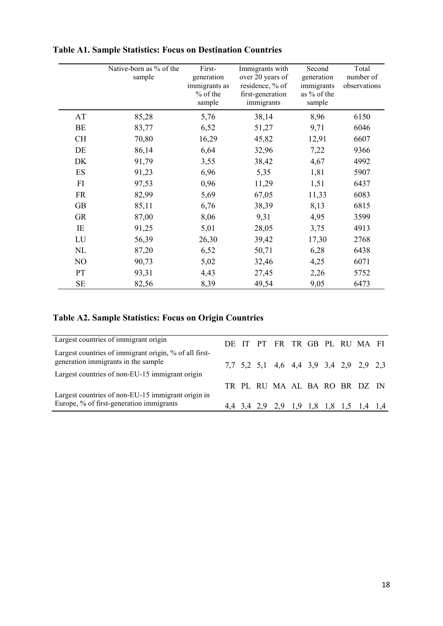|           | Native-born as % of the<br>sample | First-<br>generation<br>immigrants as<br>$%$ of the<br>sample | Immigrants with<br>over 20 years of<br>residence, % of<br>first-generation<br>immigrants | Second<br>generation<br>immigrants<br>as % of the<br>sample | Total<br>number of<br>observations |
|-----------|-----------------------------------|---------------------------------------------------------------|------------------------------------------------------------------------------------------|-------------------------------------------------------------|------------------------------------|
| AT        | 85,28                             | 5,76                                                          | 38,14                                                                                    | 8,96                                                        | 6150                               |
| BE        | 83,77                             | 6,52                                                          | 51,27                                                                                    | 9,71                                                        | 6046                               |
| <b>CH</b> | 70,80                             | 16,29                                                         | 45,82                                                                                    | 12,91                                                       | 6607                               |
| DE        | 86,14                             | 6,64                                                          | 32,96                                                                                    | 7,22                                                        | 9366                               |
| DK        | 91,79                             | 3,55                                                          | 38,42                                                                                    | 4,67                                                        | 4992                               |
| ES        | 91,23                             | 6,96                                                          | 5,35                                                                                     | 1,81                                                        | 5907                               |
| FI        | 97,53                             | 0,96                                                          | 11,29                                                                                    | 1,51                                                        | 6437                               |
| <b>FR</b> | 82,99                             | 5,69                                                          | 67,05                                                                                    | 11,33                                                       | 6083                               |
| <b>GB</b> | 85,11                             | 6,76                                                          | 38,39                                                                                    | 8,13                                                        | 6815                               |
| <b>GR</b> | 87,00                             | 8,06                                                          | 9,31                                                                                     | 4,95                                                        | 3599                               |
| IE        | 91,25                             | 5,01                                                          | 28,05                                                                                    | 3,75                                                        | 4913                               |
| LU        | 56,39                             | 26,30                                                         | 39,42                                                                                    | 17,30                                                       | 2768                               |
| NL        | 87,20                             | 6,52                                                          | 50,71                                                                                    | 6,28                                                        | 6438                               |
| NO        | 90,73                             | 5,02                                                          | 32,46                                                                                    | 4,25                                                        | 6071                               |
| PT        | 93,31                             | 4,43                                                          | 27,45                                                                                    | 2,26                                                        | 5752                               |
| <b>SE</b> | 82,56                             | 8,39                                                          | 49,54                                                                                    | 9,05                                                        | 6473                               |

## **Table A1. Sample Statistics: Focus on Destination Countries**

## **Table A2. Sample Statistics: Focus on Origin Countries**

| Largest countries of immigrant origin                                                         |  | DE IT PT FR TR GB PL RU MA FI           |  |  |  |
|-----------------------------------------------------------------------------------------------|--|-----------------------------------------|--|--|--|
| Largest countries of immigrant origin, % of all first-<br>generation immigrants in the sample |  | 7,7 5,2 5,1 4,6 4,4 3,9 3,4 2,9 2,9 2,3 |  |  |  |
| Largest countries of non-EU-15 immigrant origin                                               |  |                                         |  |  |  |
| Largest countries of non-EU-15 immigrant origin in                                            |  | TR PL RU MA AL BA RO BR DZ IN           |  |  |  |
| Europe, % of first-generation immigrants                                                      |  | 4,4 3,4 2,9 2,9 1,9 1,8 1,8 1,5 1,4 1,4 |  |  |  |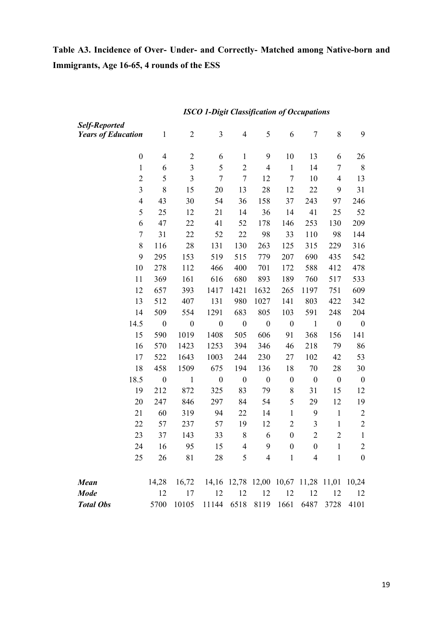# Table A3. Incidence of Over- Under- and Correctly- Matched among Native-born and **Immigrants, Age 16-65, 4 rounds of the ESS**

| Self-Reported             |                          |                                                 |                  |                          |                  |                  |                  |                          |                  |
|---------------------------|--------------------------|-------------------------------------------------|------------------|--------------------------|------------------|------------------|------------------|--------------------------|------------------|
| <b>Years of Education</b> | $\mathbf{1}$             | $\overline{2}$                                  | 3                | $\overline{4}$           | 5                | 6                | $\overline{7}$   | 8                        | 9                |
| $\boldsymbol{0}$          | $\overline{\mathcal{A}}$ | $\overline{c}$                                  | 6                | $\mathbf{1}$             | 9                | 10               | 13               | 6                        | 26               |
| $\mathbf{1}$              | 6                        | $\overline{\mathbf{3}}$                         | 5                | $\overline{c}$           | $\overline{4}$   | $\mathbf{1}$     | 14               | $\overline{7}$           | 8                |
| $\overline{c}$            | 5                        | 3                                               | 7                | $\overline{7}$           | 12               | $\overline{7}$   | 10               | $\overline{\mathcal{A}}$ | 13               |
| $\mathfrak{Z}$            | 8                        | 15                                              | 20               | 13                       | 28               | 12               | 22               | 9                        | 31               |
| $\overline{\mathcal{A}}$  | 43                       | 30                                              | 54               | 36                       | 158              | 37               | 243              | 97                       | 246              |
| 5                         | 25                       | 12                                              | 21               | 14                       | 36               | 14               | 41               | 25                       | 52               |
| 6                         | 47                       | 22                                              | 41               | 52                       | 178              | 146              | 253              | 130                      | 209              |
| 7                         | 31                       | 22                                              | 52               | 22                       | 98               | 33               | 110              | 98                       | 144              |
| 8                         | 116                      | 28                                              | 131              | 130                      | 263              | 125              | 315              | 229                      | 316              |
| 9                         | 295                      | 153                                             | 519              | 515                      | 779              | 207              | 690              | 435                      | 542              |
| 10                        | 278                      | 112                                             | 466              | 400                      | 701              | 172              | 588              | 412                      | 478              |
| 11                        | 369                      | 161                                             | 616              | 680                      | 893              | 189              | 760              | 517                      | 533              |
| 12                        | 657                      | 393                                             | 1417             | 1421                     | 1632             | 265              | 1197             | 751                      | 609              |
| 13                        | 512                      | 407                                             | 131              | 980                      | 1027             | 141              | 803              | 422                      | 342              |
| 14                        | 509                      | 554                                             | 1291             | 683                      | 805              | 103              | 591              | 248                      | 204              |
| 14.5                      | $\boldsymbol{0}$         | $\boldsymbol{0}$                                | $\boldsymbol{0}$ | $\boldsymbol{0}$         | $\boldsymbol{0}$ | $\boldsymbol{0}$ | $\mathbf{1}$     | $\boldsymbol{0}$         | $\boldsymbol{0}$ |
| 15                        | 590                      | 1019                                            | 1408             | 505                      | 606              | 91               | 368              | 156                      | 141              |
| 16                        | 570                      | 1423                                            | 1253             | 394                      | 346              | 46               | 218              | 79                       | 86               |
| 17                        | 522                      | 1643                                            | 1003             | 244                      | 230              | 27               | 102              | 42                       | 53               |
| 18                        | 458                      | 1509                                            | 675              | 194                      | 136              | 18               | 70               | 28                       | 30               |
| 18.5                      | $\boldsymbol{0}$         | $\mathbf{1}$                                    | $\boldsymbol{0}$ | $\boldsymbol{0}$         | $\boldsymbol{0}$ | $\boldsymbol{0}$ | $\boldsymbol{0}$ | $\boldsymbol{0}$         | $\boldsymbol{0}$ |
| 19                        | 212                      | 872                                             | 325              | 83                       | 79               | $8\,$            | 31               | 15                       | 12               |
| 20                        | 247                      | 846                                             | 297              | 84                       | 54               | 5                | 29               | 12                       | 19               |
| 21                        | 60                       | 319                                             | 94               | 22                       | 14               | $\mathbf{1}$     | 9                | $\mathbf{1}$             | $\overline{2}$   |
| 22                        | 57                       | 237                                             | 57               | 19                       | 12               | $\mathbf{2}$     | $\mathfrak{Z}$   | $\mathbf{1}$             | $\overline{2}$   |
| 23                        | 37                       | 143                                             | 33               | 8                        | 6                | $\boldsymbol{0}$ | $\overline{c}$   | $\overline{2}$           | $\mathbf{1}$     |
| 24                        | 16                       | 95                                              | 15               | $\overline{\mathcal{L}}$ | 9                | $\boldsymbol{0}$ | $\boldsymbol{0}$ | $\mathbf{1}$             | $\overline{2}$   |
| 25                        | 26                       | 81                                              | 28               | 5 <sup>1</sup>           | $\overline{4}$   | $\mathbf{1}$     | 4                | $\overline{1}$           | $\boldsymbol{0}$ |
| <b>Mean</b>               | 14,28                    | 16,72 14,16 12,78 12,00 10,67 11,28 11,01 10,24 |                  |                          |                  |                  |                  |                          |                  |
| <b>Mode</b>               | 12                       | 17                                              | 12               | 12                       | 12               | 12               | 12               | 12                       | 12               |
| <b>Total Obs</b>          | 5700                     | 10105                                           | 11144            | 6518                     | 8119             | 1661             | 6487             | 3728                     | 4101             |

## *ISCO 1-Digit Classification of Occupations*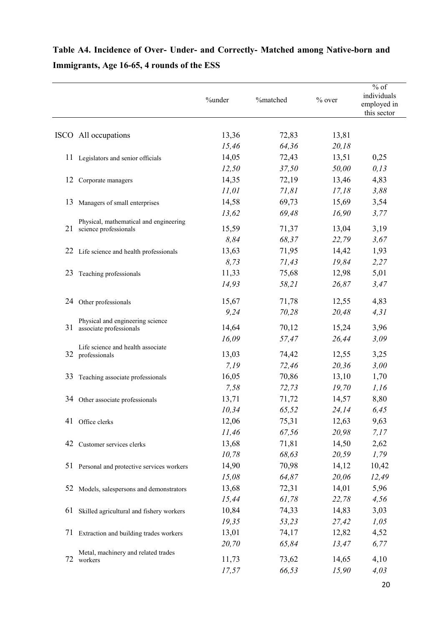# Table A4. Incidence of Over- Under- and Correctly- Matched among Native-born and **Immigrants, Age 16-65, 4 rounds of the ESS**

|    |                                                             | %under         | %matched       | $%$ over       | $%$ of<br>individuals<br>employed in<br>this sector |
|----|-------------------------------------------------------------|----------------|----------------|----------------|-----------------------------------------------------|
|    | ISCO All occupations                                        | 13,36          | 72,83          | 13,81          |                                                     |
|    |                                                             | 15,46          | 64,36          | 20,18          |                                                     |
|    | 11 Legislators and senior officials                         | 14,05          | 72,43          | 13,51          | 0,25                                                |
|    |                                                             | 12,50          | 37,50          | 50,00          | 0, 13                                               |
|    | 12 Corporate managers                                       | 14,35          | 72,19          | 13,46          | 4,83                                                |
|    |                                                             | 11,01          | 71,81          | 17,18          | 3,88                                                |
|    | 13 Managers of small enterprises                            | 14,58          | 69,73          | 15,69          | 3,54                                                |
|    |                                                             | 13,62          | 69,48          | 16,90          | 3,77                                                |
|    | Physical, mathematical and engineering                      | 15,59          | 71,37          | 13,04          | 3,19                                                |
|    | 21 science professionals                                    | 8,84           | 68,37          | 22,79          | 3,67                                                |
|    | 22 Life science and health professionals                    | 13,63          | 71,95          | 14,42          | 1,93                                                |
|    |                                                             | 8,73           | 71,43          | 19,84          | 2,27                                                |
| 23 | Teaching professionals                                      | 11,33          | 75,68          | 12,98          | 5,01                                                |
|    |                                                             | 14,93          | 58,21          | 26,87          | 3,47                                                |
|    | 24 Other professionals                                      | 15,67          | 71,78          | 12,55          | 4,83                                                |
|    |                                                             | 9,24           | 70,28          | 20,48          | 4,31                                                |
| 31 | Physical and engineering science<br>associate professionals | 14,64          | 70,12          | 15,24          | 3,96                                                |
|    |                                                             | 16,09          | 57,47          | 26,44          | 3,09                                                |
|    | Life science and health associate                           |                |                |                |                                                     |
|    | 32 professionals                                            | 13,03          | 74,42          | 12,55          | 3,25                                                |
|    |                                                             | 7,19           | 72,46          | 20,36          | 3,00                                                |
| 33 | Teaching associate professionals                            | 16,05          | 70,86          | 13,10          | 1,70                                                |
|    |                                                             | 7,58           | 72,73          | 19,70          | 1,16                                                |
| 34 | Other associate professionals                               | 13,71          | 71,72          | 14,57          | 8,80                                                |
|    |                                                             | 10,34          | 65,52          | 24,14          | 6,45                                                |
|    | 41 Office clerks                                            | 12,06<br>11,46 | 75,31<br>67,56 | 12,63<br>20,98 | 9,63<br>7,17                                        |
|    | 42 Customer services clerks                                 | 13,68          | 71,81          | 14,50          | 2,62                                                |
|    |                                                             | 10,78          | 68,63          | 20,59          | 1,79                                                |
|    | 51 Personal and protective services workers                 | 14,90          | 70,98          | 14,12          | 10,42                                               |
|    |                                                             | 15,08          | 64,87          | 20,06          | 12,49                                               |
|    | 52 Models, salespersons and demonstrators                   | 13,68          | 72,31          | 14,01          | 5,96                                                |
|    |                                                             | 15,44          | 61,78          | 22,78          | 4,56                                                |
|    | 61 Skilled agricultural and fishery workers                 | 10,84          | 74,33          | 14,83          | 3,03                                                |
|    |                                                             | 19,35          | 53,23          | 27,42          | 1,05                                                |
|    | 71 Extraction and building trades workers                   | 13,01          | 74,17          | 12,82          | 4,52                                                |
|    |                                                             | 20,70          | 65,84          | 13,47          | 6,77                                                |
|    | Metal, machinery and related trades                         |                |                |                |                                                     |
| 72 | workers                                                     | 11,73          | 73,62          | 14,65          | 4,10                                                |
|    |                                                             | 17,57          | 66,53          | 15,90          | 4,03                                                |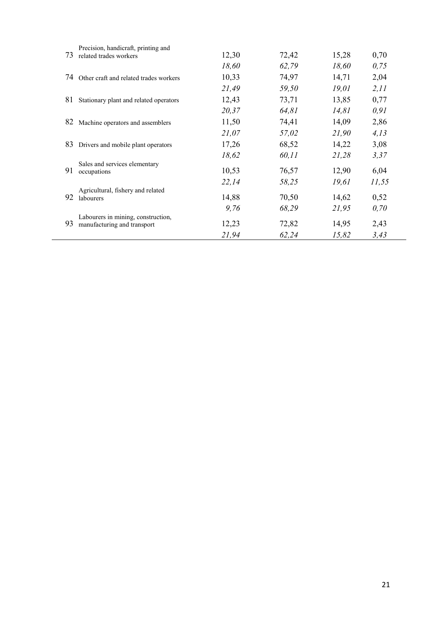| 73 | Precision, handicraft, printing and<br>related trades workers     | 12,30 | 72,42 | 15,28 | 0,70  |
|----|-------------------------------------------------------------------|-------|-------|-------|-------|
|    |                                                                   | 18,60 | 62,79 | 18,60 | 0,75  |
| 74 | Other craft and related trades workers                            | 10,33 | 74,97 | 14,71 | 2,04  |
|    |                                                                   | 21,49 | 59,50 | 19,01 | 2, 11 |
| 81 | Stationary plant and related operators                            | 12,43 | 73,71 | 13,85 | 0,77  |
|    |                                                                   | 20,37 | 64,81 | 14,81 | 0,91  |
| 82 | Machine operators and assemblers                                  | 11,50 | 74,41 | 14,09 | 2,86  |
|    |                                                                   | 21,07 | 57,02 | 21,90 | 4,13  |
| 83 | Drivers and mobile plant operators                                | 17,26 | 68,52 | 14,22 | 3,08  |
|    |                                                                   | 18,62 | 60,11 | 21,28 | 3,37  |
| 91 | Sales and services elementary<br>occupations                      | 10,53 | 76,57 | 12,90 | 6,04  |
|    |                                                                   | 22,14 | 58,25 | 19,61 | 11,55 |
| 92 | Agricultural, fishery and related<br>labourers                    | 14,88 | 70,50 | 14,62 | 0,52  |
|    |                                                                   | 9,76  | 68,29 | 21,95 | 0,70  |
| 93 | Labourers in mining, construction,<br>manufacturing and transport | 12,23 | 72,82 | 14,95 | 2,43  |
|    |                                                                   | 21,94 | 62,24 | 15,82 | 3,43  |

 $\mathcal{L}^{\mathcal{L}}$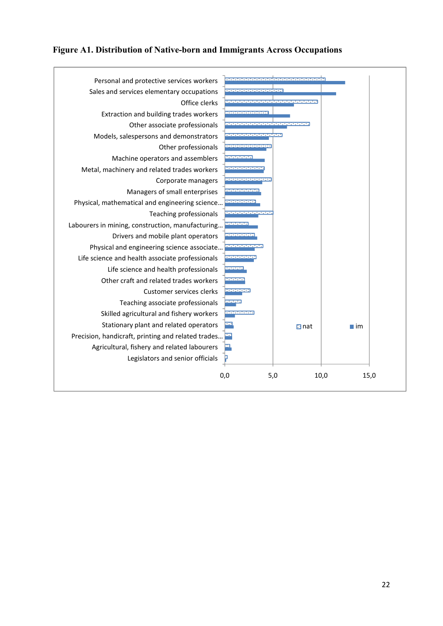#### **Figure A1. Distribution of 7ative-born and Immigrants Across Occupations**

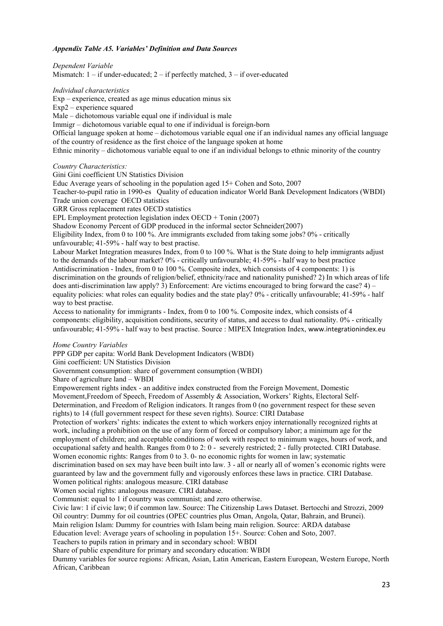#### *Appendix Table A5. Variables' Definition and Data Sources*

*Dependent Variable*  Mismatch: 1 – if under-educated; 2 – if perfectly matched, 3 – if over-educated

*Individual characteristics* 

Exp – experience, created as age minus education minus six

Exp2 – experience squared

Male – dichotomous variable equal one if individual is male

Immigr – dichotomous variable equal to one if individual is foreign-born

Official language spoken at home – dichotomous variable equal one if an individual names any official language of the country of residence as the first choice of the language spoken at home

Ethnic minority – dichotomous variable equal to one if an individual belongs to ethnic minority of the country

#### *Country Characteristics:*

Gini Gini coefficient UN Statistics Division

Educ Average years of schooling in the population aged 15+ Cohen and Soto, 2007

Teacher-to-pupil ratio in 1990-es Quality of education indicator World Bank Development Indicators (WBDI) Trade union coverage OECD statistics

GRR Gross replacement rates OECD statistics

EPL Employment protection legislation index OECD + Tonin (2007)

Shadow Economy Percent of GDP produced in the informal sector Schneider(2007)

Eligibility Index, from 0 to 100 %. Are immigrants excluded from taking some jobs? 0% - critically unfavourable; 41-59% - half way to best practise.

Labour Market Integration measures Index, from 0 to 100 %. What is the State doing to help immigrants adjust to the demands of the labour market? 0% - critically unfavourable; 41-59% - half way to best practice Antidiscrimination - Index, from 0 to 100 %. Composite index, which consists of 4 components: 1) is discrimination on the grounds of religion/belief, ethnicity/race and nationality punished? 2) In which areas of life does anti-discrimination law apply? 3) Enforcement: Are victims encouraged to bring forward the case? 4) – equality policies: what roles can equality bodies and the state play? 0% - critically unfavourable; 41-59% - half way to best practise.

Access to nationality for immigrants - Index, from 0 to 100 %. Composite index, which consists of 4 components: eligibility, acquisition conditions, security of status, and access to dual nationality. 0% - critically unfavourable; 41-59% - half way to best practise. Source : MIPEX Integration Index, www.integrationindex.eu

#### *Home Country Variables*

PPP GDP per capita: World Bank Development Indicators (WBDI)

Gini coefficient: UN Statistics Division

Government consumption: share of government consumption (WBDI)

Share of agriculture land – WBDI

Empowerement rights index - an additive index constructed from the Foreign Movement, Domestic

Movement,Freedom of Speech, Freedom of Assembly & Association, Workers' Rights, Electoral Self-Determination, and Freedom of Religion indicators. It ranges from 0 (no government respect for these seven rights) to 14 (full government respect for these seven rights). Source: CIRI Database

Protection of workers' rights: indicates the extent to which workers enjoy internationally recognized rights at work, including a prohibition on the use of any form of forced or compulsory labor; a minimum age for the employment of children; and acceptable conditions of work with respect to minimum wages, hours of work, and occupational safety and health. Ranges from 0 to 2: 0 - severely restricted; 2 - fully protected. CIRI Database. Women economic rights: Ranges from 0 to 3.0- no economic rights for women in law; systematic

discrimination based on sex may have been built into law. 3 - all or nearly all of women's economic rights were guaranteed by law and the government fully and vigorously enforces these laws in practice. CIRI Database.

Women political rights: analogous measure. CIRI database Women social rights: analogous measure. CIRI database.

Communist: equal to 1 if country was communist; and zero otherwise.

Civic law: 1 if civic law; 0 if common law. Source: The Citizenship Laws Dataset. Bertocchi and Strozzi, 2009

Oil country: Dummy for oil countries (OPEC countries plus Oman, Angola, Qatar, Bahrain, and Brunei).

Main religion Islam: Dummy for countries with Islam being main religion. Source: ARDA database

Education level: Average years of schooling in population 15+. Source: Cohen and Soto, 2007.

Teachers to pupils ration in primary and in secondary school: WBDI

Share of public expenditure for primary and secondary education: WBDI

Dummy variables for source regions: African, Asian, Latin American, Eastern European, Western Europe, North African, Caribbean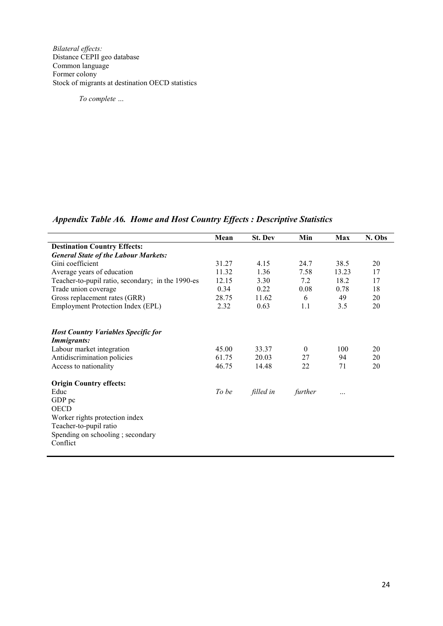*Bilateral effects:*  Distance CEPII geo database Common language Former colony Stock of migrants at destination OECD statistics

*To complete …* 

*Appendix Table A6. Home and Host Country Effects : Descriptive Statistics* 

|                                                                                                                                                       | Mean                    | <b>St. Dev</b>          | Min                  | <b>Max</b>      | N. Obs         |
|-------------------------------------------------------------------------------------------------------------------------------------------------------|-------------------------|-------------------------|----------------------|-----------------|----------------|
| <b>Destination Country Effects:</b>                                                                                                                   |                         |                         |                      |                 |                |
| <b>General State of the Labour Markets:</b>                                                                                                           |                         |                         |                      |                 |                |
| Gini coefficient                                                                                                                                      | 31.27                   | 4.15                    | 24.7                 | 38.5            | 20             |
| Average years of education                                                                                                                            | 11.32                   | 1.36                    | 7.58                 | 13.23           | 17             |
| Teacher-to-pupil ratio, secondary; in the 1990-es                                                                                                     | 12.15                   | 3.30                    | 7.2                  | 18.2            | 17             |
| Trade union coverage                                                                                                                                  | 0.34                    | 0.22                    | 0.08                 | 0.78            | 18             |
| Gross replacement rates (GRR)                                                                                                                         | 28.75                   | 11.62                   | 6                    | 49              | 20             |
| <b>Employment Protection Index (EPL)</b>                                                                                                              | 2.32                    | 0.63                    | 1.1                  | 3.5             | 20             |
| <b>Host Country Variables Specific for</b><br><b>Immigrants:</b><br>Labour market integration<br>Antidiscrimination policies<br>Access to nationality | 45.00<br>61.75<br>46.75 | 33.37<br>20.03<br>14.48 | $\theta$<br>27<br>22 | 100<br>94<br>71 | 20<br>20<br>20 |
| <b>Origin Country effects:</b>                                                                                                                        | To be                   |                         |                      |                 |                |
| Educ<br>GDP pc                                                                                                                                        |                         | filled in               | further              |                 |                |
| <b>OECD</b>                                                                                                                                           |                         |                         |                      |                 |                |
| Worker rights protection index                                                                                                                        |                         |                         |                      |                 |                |
| Teacher-to-pupil ratio                                                                                                                                |                         |                         |                      |                 |                |
| Spending on schooling; secondary                                                                                                                      |                         |                         |                      |                 |                |
| Conflict                                                                                                                                              |                         |                         |                      |                 |                |
|                                                                                                                                                       |                         |                         |                      |                 |                |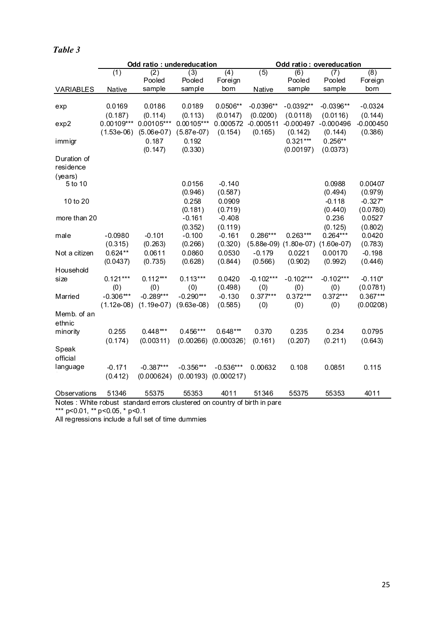|                          |               | Odd ratio: undereducation |                     |                     |             | Odd ratio: overeducation  |                  |                    |  |
|--------------------------|---------------|---------------------------|---------------------|---------------------|-------------|---------------------------|------------------|--------------------|--|
|                          | (1)           | (2)                       | (3)                 | (4)                 | (5)         | (6)                       | (7)              | (8)                |  |
|                          |               | Pooled                    | Pooled              | Foreign             |             | Pooled                    | Pooled           | Foreign            |  |
| <b>VARIABLES</b>         | <b>Native</b> | sample                    | sample              | born                | Native      | sample                    | sample           | born               |  |
| exp                      | 0.0169        | 0.0186                    | 0.0189              | 0.0506**            | $-0.0396**$ | $-0.0392**$               | $-0.0396**$      | $-0.0324$          |  |
|                          | (0.187)       | (0.114)                   | (0.113)             | (0.0147)            | (0.0200)    | (0.0118)                  | (0.0116)         | (0.144)            |  |
| exp2                     | $0.00109***$  | 0.00105***                | $0.00105***$        | 0.000572            | $-0.000511$ | $-0.000497$               | $-0.000496$      | $-0.000450$        |  |
|                          | $(1.53e-06)$  | $(5.06e-07)$              | $(5.87e-07)$        | (0.154)             | (0.165)     | (0.142)                   | (0.144)          | (0.386)            |  |
| immigr                   |               | 0.187                     | 0.192               |                     |             | $0.321***$                | $0.256**$        |                    |  |
|                          |               | (0.147)                   | (0.330)             |                     |             | (0.00197)                 | (0.0373)         |                    |  |
| Duration of<br>residence |               |                           |                     |                     |             |                           |                  |                    |  |
| (years)                  |               |                           |                     |                     |             |                           |                  |                    |  |
| 5 to 10                  |               |                           | 0.0156              | $-0.140$            |             |                           | 0.0988           | 0.00407            |  |
|                          |               |                           | (0.946)             | (0.587)             |             |                           | (0.494)          | (0.979)            |  |
| 10 to 20                 |               |                           | 0.258               | 0.0909              |             |                           | $-0.118$         | $-0.327*$          |  |
|                          |               |                           | (0.181)<br>$-0.161$ | (0.719)<br>$-0.408$ |             |                           | (0.440)<br>0.236 | (0.0780)<br>0.0527 |  |
| more than 20             |               |                           | (0.352)             | (0.119)             |             |                           | (0.125)          | (0.802)            |  |
| male                     | $-0.0980$     | $-0.101$                  | $-0.100$            | $-0.161$            | $0.286***$  | $0.263***$                | $0.264***$       | 0.0420             |  |
|                          | (0.315)       | (0.263)                   | (0.266)             | (0.320)             |             | $(5.88e-09)$ $(1.80e-07)$ | $(1.60e-07)$     | (0.783)            |  |
| Not a citizen            | $0.624**$     | 0.0611                    | 0.0860              | 0.0530              | $-0.179$    | 0.0221                    | 0.00170          | $-0.198$           |  |
|                          | (0.0437)      | (0.735)                   | (0.628)             | (0.844)             | (0.566)     | (0.902)                   | (0.992)          | (0.446)            |  |
| Household                |               |                           |                     |                     |             |                           |                  |                    |  |
| size                     | $0.121***$    | $0.112***$                | $0.113***$          | 0.0420              | $-0.102***$ | $-0.102***$               | $-0.102***$      | $-0.110*$          |  |
|                          | (0)           | (0)                       | (0)                 | (0.498)             | (0)         | (0)                       | (0)              | (0.0781)           |  |
| Married                  | $-0.306***$   | $-0.289***$               | $-0.290***$         | $-0.130$            | $0.377***$  | $0.372***$                | $0.372***$       | $0.367***$         |  |
|                          | $(1.12e-08)$  | $(1.19e-07)$              | $(9.63e-08)$        | (0.585)             | (0)         | (0)                       | (0)              | (0.00208)          |  |
| Memb. of an              |               |                           |                     |                     |             |                           |                  |                    |  |
| ethnic                   |               |                           |                     |                     |             |                           |                  |                    |  |
| minority                 | 0.255         | $0.448***$                | $0.456***$          | $0.648***$          | 0.370       | 0.235                     | 0.234            | 0.0795             |  |
|                          | (0.174)       | (0.00311)                 | (0.00266)           | (0.000326)          | (0.161)     | (0.207)                   | (0.211)          | (0.643)            |  |
| Speak                    |               |                           |                     |                     |             |                           |                  |                    |  |
| official                 |               |                           |                     |                     |             |                           |                  |                    |  |
| language                 | $-0.171$      | $-0.387***$               | $-0.356***$         | $-0.536***$         | 0.00632     | 0.108                     | 0.0851           | 0.115              |  |
|                          | (0.412)       | (0.000624)                | (0.00193)           | (0.000217)          |             |                           |                  |                    |  |
| Observations             | 51346         | 55375                     | 55353               | 4011                | 51346       | 55375                     | 55353            | 4011               |  |

## *Table 3*

Notes : White robust standard errors clustered on country of birth in pare \*\*\* p<0.01, \*\* p<0.05, \* p<0.1

All regressions include a full set of time dummies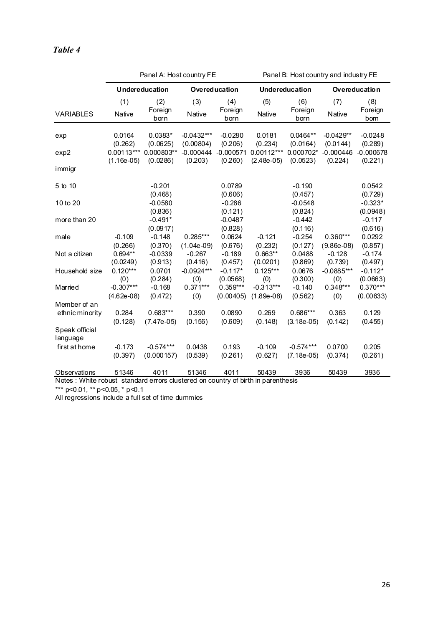|                            |                              | Panel A: Host country FE   |                            |                         | Panel B: Host country and industry FE |                             |                            |                        |  |
|----------------------------|------------------------------|----------------------------|----------------------------|-------------------------|---------------------------------------|-----------------------------|----------------------------|------------------------|--|
|                            |                              | Undereducation             |                            | <b>Overeducation</b>    |                                       | <b>Undereducation</b>       |                            | Overeducation          |  |
|                            | (1)                          | (2)                        | (3)                        | (4)                     | (5)                                   | (6)                         | (7)                        | (8)                    |  |
| <b>VARIABLES</b>           | Native                       | Foreign<br>born            | Native                     | Foreign<br>born         | Native                                | Foreign<br>born             | Native                     | Foreign<br>born        |  |
| exp                        | 0.0164<br>(0.262)            | $0.0383*$<br>(0.0625)      | $-0.0432***$<br>(0.00804)  | $-0.0280$<br>(0.206)    | 0.0181<br>(0.234)                     | $0.0464**$<br>(0.0164)      | $-0.0429**$<br>(0.0144)    | $-0.0248$<br>(0.289)   |  |
| exp2                       | $0.00113***$<br>$(1.16e-05)$ | 0.000803**<br>(0.0286)     | $-0.000444$<br>(0.203)     | $-0.000571$<br>(0.260)  | $0.00112***$<br>$(2.48e-05)$          | $0.000702*$<br>(0.0523)     | $-0.000446$<br>(0.224)     | $-0.000678$<br>(0.221) |  |
| immigr                     |                              |                            |                            |                         |                                       |                             |                            |                        |  |
| 5 to 10                    |                              | $-0.201$<br>(0.468)        |                            | 0.0789<br>(0.606)       |                                       | $-0.190$<br>(0.457)         |                            | 0.0542<br>(0.729)      |  |
| 10 to 20                   |                              | $-0.0580$<br>(0.836)       |                            | $-0.286$<br>(0.121)     |                                       | $-0.0548$<br>(0.824)        |                            | $-0.323*$<br>(0.0948)  |  |
| more than 20               |                              | $-0.491*$<br>(0.0917)      |                            | $-0.0487$<br>(0.828)    |                                       | $-0.442$<br>(0.116)         |                            | $-0.117$<br>(0.616)    |  |
| male                       | $-0.109$<br>(0.266)          | $-0.148$<br>(0.370)        | $0.285***$<br>$(1.04e-09)$ | 0.0624<br>(0.676)       | $-0.121$<br>(0.232)                   | $-0.254$<br>(0.127)         | $0.360***$<br>$(9.86e-08)$ | 0.0292<br>(0.857)      |  |
| Not a citizen              | $0.694**$<br>(0.0249)        | $-0.0339$<br>(0.913)       | $-0.267$<br>(0.416)        | $-0.189$<br>(0.457)     | $0.663**$<br>(0.0201)                 | 0.0488<br>(0.869)           | $-0.128$<br>(0.739)        | $-0.174$<br>(0.497)    |  |
| Household size             | $0.120***$<br>(0)            | 0.0701<br>(0.284)          | $-0.0924***$<br>(0)        | $-0.117*$<br>(0.0568)   | $0.125***$<br>(0)                     | 0.0676<br>(0.300)           | $-0.0885***$<br>(0)        | $-0.112*$<br>(0.0663)  |  |
| Married                    | $-0.307***$<br>$(4.62e-08)$  | $-0.168$<br>(0.472)        | $0.371***$<br>(0)          | $0.359***$<br>(0.00405) | $-0.313***$<br>$(1.89e-0.8)$          | $-0.140$<br>(0.562)         | 0.348***<br>(0)            | 0.370***<br>(0.00633)  |  |
| Member of an               |                              |                            |                            |                         |                                       |                             |                            |                        |  |
| ethnic minority            | 0.284<br>(0.128)             | $0.683***$<br>$(7.47e-05)$ | 0.390<br>(0.156)           | 0.0890<br>(0.609)       | 0.269<br>(0.148)                      | $0.686***$<br>$(3.18e-05)$  | 0.363<br>(0.142)           | 0.129<br>(0.455)       |  |
| Speak official<br>language |                              |                            |                            |                         |                                       |                             |                            |                        |  |
| first at home              | $-0.173$<br>(0.397)          | $-0.574***$<br>(0.000157)  | 0.0438<br>(0.539)          | 0.193<br>(0.261)        | $-0.109$<br>(0.627)                   | $-0.574***$<br>$(7.18e-05)$ | 0.0700<br>(0.374)          | 0.205<br>(0.261)       |  |
| Observations               | 51346                        | 4011                       | 51346                      | 4011                    | 50439                                 | 3936                        | 50439                      | 3936                   |  |

Notes : White robust standard errors clustered on country of birth in parenthesis

\*\*\* p<0.01, \*\* p<0.05, \* p<0.1

All regressions include a full set of time dummies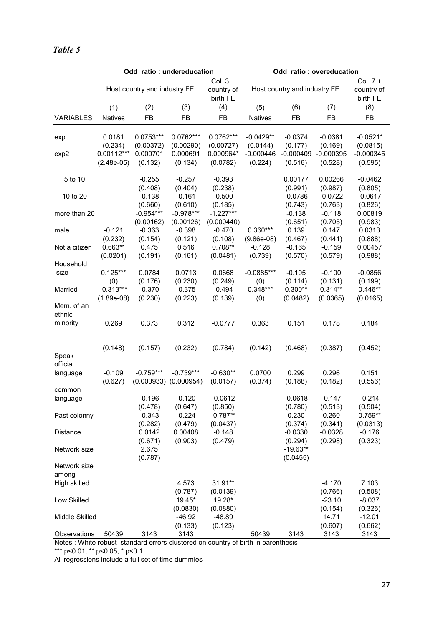|                                       | Odd ratio: undereducation          |                                |                                          |                                      |                            | Odd ratio: overeducation         |                                  |                                      |  |
|---------------------------------------|------------------------------------|--------------------------------|------------------------------------------|--------------------------------------|----------------------------|----------------------------------|----------------------------------|--------------------------------------|--|
|                                       |                                    | Host country and industry FE   |                                          | Col. $3 +$<br>country of<br>birth FE |                            | Host country and industry FE     |                                  | Col. $7 +$<br>country of<br>birth FE |  |
| <b>VARIABLES</b>                      | (1)<br><b>Natives</b>              | (2)<br>FB                      | (3)<br><b>FB</b>                         | (4)<br>FB                            | (5)<br><b>Natives</b>      | (6)<br><b>FB</b>                 | (7)<br><b>FB</b>                 | (8)<br>FB                            |  |
| exp                                   | 0.0181<br>(0.234)                  | $0.0753***$<br>(0.00372)       | 0.0762***<br>(0.00290)                   | 0.0762***<br>(0.00727)               | $-0.0429**$<br>(0.0144)    | $-0.0374$<br>(0.177)             | $-0.0381$<br>(0.169)             | $-0.0521*$<br>(0.0815)               |  |
| exp2                                  | $0.00112***$<br>$(2.48e-05)$       | 0.000701<br>(0.132)            | 0.000691<br>(0.134)                      | 0.000964*<br>(0.0782)                | $-0.000446$<br>(0.224)     | $-0.000409$<br>(0.516)           | $-0.000395$<br>(0.528)           | $-0.000345$<br>(0.595)               |  |
| 5 to 10                               |                                    | $-0.255$<br>(0.408)            | $-0.257$<br>(0.404)                      | $-0.393$<br>(0.238)                  |                            | 0.00177<br>(0.991)               | 0.00266<br>(0.987)               | $-0.0462$<br>(0.805)                 |  |
| 10 to 20                              |                                    | $-0.138$<br>(0.660)            | $-0.161$<br>(0.610)                      | $-0.500$<br>(0.185)                  |                            | $-0.0786$<br>(0.743)             | $-0.0722$<br>(0.763)             | $-0.0617$<br>(0.826)                 |  |
| more than 20                          |                                    | $-0.954***$<br>(0.00162)       | $-0.978***$<br>(0.00126)                 | $-1.227***$<br>(0.000440)            |                            | $-0.138$<br>(0.651)              | $-0.118$<br>(0.705)              | 0.00819<br>(0.983)                   |  |
| male                                  | $-0.121$<br>(0.232)                | $-0.363$<br>(0.154)            | $-0.398$<br>(0.121)                      | $-0.470$<br>(0.108)                  | $0.360***$<br>$(9.86e-08)$ | 0.139<br>(0.467)                 | 0.147<br>(0.441)                 | 0.0313<br>(0.888)                    |  |
| Not a citizen                         | $0.663**$<br>(0.0201)              | 0.475<br>(0.191)               | 0.516<br>(0.161)                         | $0.708**$<br>(0.0481)                | $-0.128$<br>(0.739)        | $-0.165$<br>(0.570)              | $-0.159$<br>(0.579)              | 0.00457<br>(0.988)                   |  |
| Household<br>size                     | $0.125***$                         | 0.0784                         | 0.0713                                   | 0.0668                               | $-0.0885***$               | $-0.105$                         | $-0.100$                         | $-0.0856$                            |  |
| Married                               | (0)<br>$-0.313***$<br>$(1.89e-08)$ | (0.176)<br>$-0.370$<br>(0.230) | (0.230)<br>$-0.375$<br>(0.223)           | (0.249)<br>$-0.494$<br>(0.139)       | (0)<br>$0.348***$<br>(0)   | (0.114)<br>$0.300**$<br>(0.0482) | (0.131)<br>$0.314**$<br>(0.0365) | (0.199)<br>$0.446**$<br>(0.0165)     |  |
| Mem. of an<br>ethnic                  |                                    |                                |                                          |                                      |                            |                                  |                                  |                                      |  |
| minority                              | 0.269                              | 0.373                          | 0.312                                    | $-0.0777$                            | 0.363                      | 0.151                            | 0.178                            | 0.184                                |  |
| Speak<br>official                     | (0.148)                            | (0.157)                        | (0.232)                                  | (0.784)                              | (0.142)                    | (0.468)                          | (0.387)                          | (0.452)                              |  |
| language                              | $-0.109$<br>(0.627)                | $-0.759***$                    | $-0.739***$<br>$(0.000933)$ $(0.000954)$ | $-0.630**$<br>(0.0157)               | 0.0700<br>(0.374)          | 0.299<br>(0.188)                 | 0.296<br>(0.182)                 | 0.151<br>(0.556)                     |  |
| common<br>language                    |                                    | $-0.196$<br>(0.478)            | $-0.120$<br>(0.647)                      | $-0.0612$<br>(0.850)                 |                            | $-0.0618$<br>(0.780)             | $-0.147$<br>(0.513)              | $-0.214$<br>(0.504)                  |  |
| Past colonny                          |                                    | $-0.343$<br>(0.282)            | $-0.224$<br>(0.479)                      | $-0.787**$<br>(0.0437)               |                            | 0.230<br>(0.374)                 | 0.260<br>(0.341)                 | $0.759**$<br>(0.0313)                |  |
| Distance                              |                                    | 0.0142<br>(0.671)              | 0.00408<br>(0.903)                       | $-0.148$<br>(0.479)                  |                            | $-0.0330$<br>(0.294)             | $-0.0328$<br>(0.298)             | $-0.176$<br>(0.323)                  |  |
| Network size                          |                                    | 2.675<br>(0.787)               |                                          |                                      |                            | $-19.63**$<br>(0.0455)           |                                  |                                      |  |
| Network size<br>among<br>High skilled |                                    |                                | 4.573                                    | 31.91**                              |                            |                                  | $-4.170$                         | 7.103                                |  |
| Low Skilled                           |                                    |                                | (0.787)<br>19.45*                        | (0.0139)<br>19.28*                   |                            |                                  | (0.766)<br>$-23.10$              | (0.508)<br>$-8.037$                  |  |
| Middle Skilled                        |                                    |                                | (0.0830)<br>$-46.92$                     | (0.0880)<br>$-48.89$                 |                            |                                  | (0.154)<br>14.71                 | (0.326)<br>$-12.01$                  |  |
| Observations                          | 50439                              | 3143                           | (0.133)<br>3143                          | (0.123)                              | 50439                      | 3143                             | (0.607)<br>3143                  | (0.662)<br>3143                      |  |

Notes : White robust standard errors clustered on country of birth in parenthesis

\*\*\* p<0.01, \*\* p<0.05, \* p<0.1

All regressions include a full set of time dummies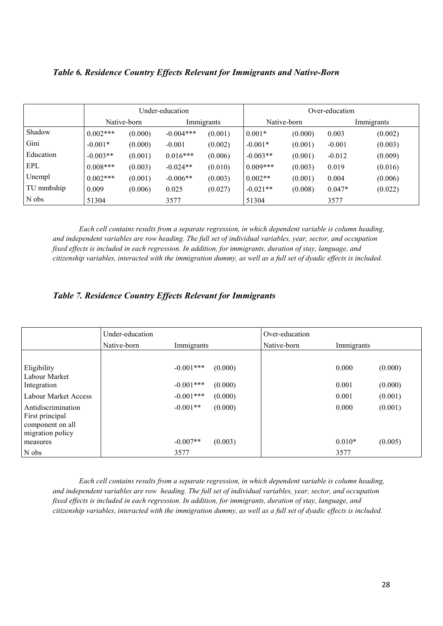#### **Table 6. Residence Country Effects Relevant for Immigrants and Native-Born**

|            |            | Under-education |             |            |            | Over-education |          |            |  |
|------------|------------|-----------------|-------------|------------|------------|----------------|----------|------------|--|
|            |            | Native-born     |             | Immigrants |            | Native-born    |          | Immigrants |  |
| Shadow     | $0.002***$ | (0.000)         | $-0.004***$ | (0.001)    | $0.001*$   | (0.000)        | 0.003    | (0.002)    |  |
| Gini       | $-0.001*$  | (0.000)         | $-0.001$    | (0.002)    | $-0.001*$  | (0.001)        | $-0.001$ | (0.003)    |  |
| Education  | $-0.003**$ | (0.001)         | $0.016***$  | (0.006)    | $-0.003**$ | (0.001)        | $-0.012$ | (0.009)    |  |
| EPL        | $0.008***$ | (0.003)         | $-0.024**$  | (0.010)    | $0.009***$ | (0.003)        | 0.019    | (0.016)    |  |
| Unempl     | $0.002***$ | (0.001)         | $-0.006**$  | (0.003)    | $0.002**$  | (0.001)        | 0.004    | (0.006)    |  |
| TU mmbship | 0.009      | (0.006)         | 0.025       | (0.027)    | $-0.021**$ | (0.008)        | $0.047*$ | (0.022)    |  |
| N obs      | 51304      |                 | 3577        |            | 51304      |                | 3577     |            |  |

*Each cell contains results from a separate regression, in which dependent variable is column heading, and independent variables are row heading. The full set of individual variables, year, sector, and occupation fixed effects is included in each regression. In addition, for immigrants, duration of stay, language, and citizenship variables, interacted with the immigration dummy, as well as a full set of dyadic effects is included.*

### *Table 7. Residence Country Effects Relevant for Immigrants*

|                                                                               | Under-education |                         | Over-education |            |         |
|-------------------------------------------------------------------------------|-----------------|-------------------------|----------------|------------|---------|
|                                                                               | Native-born     | Immigrants              | Native-born    | Immigrants |         |
|                                                                               |                 |                         |                |            |         |
| Eligibility<br>Labour Market                                                  |                 | $-0.001$ ***<br>(0.000) |                | 0.000      | (0.000) |
| Integration                                                                   |                 | $-0.001***$<br>(0.000)  |                | 0.001      | (0.000) |
| Labour Market Access                                                          |                 | $-0.001***$<br>(0.000)  |                | 0.001      | (0.001) |
| Antidiscrimination<br>First principal<br>component on all<br>migration policy |                 | $-0.001**$<br>(0.000)   |                | 0.000      | (0.001) |
| measures                                                                      |                 | $-0.007**$<br>(0.003)   |                | $0.010*$   | (0.005) |
| N obs                                                                         |                 | 3577                    |                | 3577       |         |

*Each cell contains results from a separate regression, in which dependent variable is column heading, and independent variables are row heading. The full set of individual variables, year, sector, and occupation fixed effects is included in each regression. In addition, for immigrants, duration of stay, language, and citizenship variables, interacted with the immigration dummy, as well as a full set of dyadic effects is included.*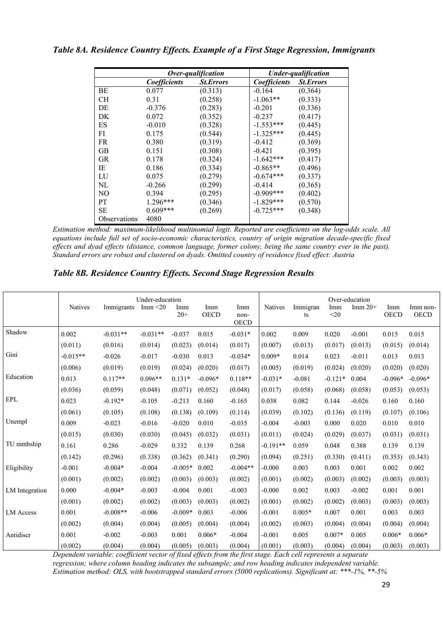| Table 8A. Residence Country Effects. Example of a First Stage Regression, Immigrants |  |  |  |  |  |
|--------------------------------------------------------------------------------------|--|--|--|--|--|
|--------------------------------------------------------------------------------------|--|--|--|--|--|

|                |                                  | Over-qualification |              | <b>Under-qualification</b> |
|----------------|----------------------------------|--------------------|--------------|----------------------------|
|                | Coefficients<br><b>St.Errors</b> |                    | Coefficients | <b>St.Errors</b>           |
| ВE             | 0.077                            | (0.313)            | $-0.164$     | (0.364)                    |
| CH.            | 0.31                             | (0.258)            | $-1.063**$   | (0.333)                    |
| DE             | $-0.376$                         | (0.283)            | $-0.201$     | (0.336)                    |
| DK             | 0.072                            | (0.352)            | $-0.237$     | (0.417)                    |
| ES             | $-0.010$                         | (0.328)            | $-1.553***$  | (0.445)                    |
| FI             | 0.175                            | (0.544)            | $-1.325***$  | (0.445)                    |
| <b>FR</b>      | 0.380                            | (0.319)            | $-0.412$     | (0.369)                    |
| <b>GB</b>      | 0.151                            | (0.308)            | $-0.421$     | (0.395)                    |
| <b>GR</b>      | 0.178                            | (0.324)            | $-1.642***$  | (0.417)                    |
| IE             | 0.186                            | (0.334)            | $-0.865**$   | (0.496)                    |
| LU             | 0.075                            | (0.279)            | $-0.674***$  | (0.337)                    |
| NL             | $-0.266$                         | (0.299)            | $-0.414$     | (0.365)                    |
| N <sub>O</sub> | 0.394                            | (0.295)            | $-0.909***$  | (0.402)                    |
| <b>PT</b>      | 1.296***                         | (0.346)            | $-1.829***$  | (0.570)                    |
| SE             | $0.609***$                       | (0.269)            | $-0.725***$  | (0.348)                    |
| Observations   | 4080                             |                    |              |                            |

*Estimation method: maximum-likelihood multinomial logit. Reported are coefficients on the log-odds scale. All equations include full set of socio-economic characteristics, country of origin migration decade-specific fixed effects and dyad effects (distance, common language, former colony, being the same country ever in the past). Standard errors are robust and clustered on dyads. Omitted country of residence fixed effect: Austria* 

*Table 8B. Residence Country Effects. Second Stage Regression Results* 

|                  | <b>Natives</b> | Immigrants | Under-education<br>Imm $\leq$ 20 | Imm<br>$20+$ | Imm<br><b>OECD</b> | Imm<br>non-<br><b>OECD</b> | <b>Natives</b> | Immigran<br>ts | Imm<br>$20$ | Over-education<br>Imm $20+$ | Imm<br><b>OECD</b> | Imm non-<br><b>OECD</b> |
|------------------|----------------|------------|----------------------------------|--------------|--------------------|----------------------------|----------------|----------------|-------------|-----------------------------|--------------------|-------------------------|
| Shadow           | 0.002          | $-0.031**$ | $-0.031**$                       | $-0.037$     | 0.015              | $-0.031*$                  | 0.002          | 0.009          | 0.020       | $-0.001$                    | 0.015              | 0.015                   |
|                  | (0.011)        | (0.016)    | (0.014)                          | (0.023)      | (0.014)            | (0.017)                    | (0.007)        | (0.013)        | (0.017)     | (0.013)                     | (0.015)            | (0.014)                 |
| Gini             | $-0.015**$     | $-0.026$   | $-0.017$                         | $-0.030$     | 0.013              | $-0.034*$                  | $0.009*$       | 0.014          | 0.023       | $-0.011$                    | 0.013              | 0.013                   |
|                  | (0.006)        | (0.019)    | (0.019)                          | (0.024)      | (0.020)            | (0.017)                    | (0.005)        | (0.019)        | (0.024)     | (0.020)                     | (0.020)            | (0.020)                 |
| Education        | 0.013          | $0.117**$  | $0.096**$                        | $0.131*$     | $-0.096*$          | $0.118**$                  | $-0.031*$      | $-0.081$       | $-0.121*$   | 0.004                       | $-0.096*$          | $-0.096*$               |
|                  | (0.036)        | (0.059)    | (0.048)                          | (0.071)      | (0.052)            | (0.048)                    | (0.017)        | (0.058)        | (0.068)     | (0.058)                     | (0.053)            | (0.053)                 |
| EPL              | 0.023          | $-0.192*$  | $-0.105$                         | $-0.213$     | 0.160              | $-0.165$                   | 0.038          | 0.082          | 0.144       | $-0.026$                    | 0.160              | 0.160                   |
|                  | (0.061)        | (0.105)    | (0.108)                          | (0.138)      | (0.109)            | (0.114)                    | (0.039)        | (0.102)        | (0.136)     | (0.119)                     | (0.107)            | (0.106)                 |
| Unempl           | 0.009          | $-0.023$   | $-0.016$                         | $-0.020$     | 0.010              | $-0.035$                   | $-0.004$       | $-0.003$       | 0.000       | 0.020                       | 0.010              | 0.010                   |
|                  | (0.015)        | (0.030)    | (0.030)                          | (0.045)      | (0.032)            | (0.031)                    | (0.011)        | (0.024)        | (0.029)     | (0.037)                     | (0.031)            | (0.031)                 |
| TU mmbship       | 0.161          | 0.286      | $-0.029$                         | 0.332        | 0.139              | 0.268                      | $-0.191**$     | 0.059          | 0.048       | 0.388                       | 0.139              | 0.139                   |
|                  | (0.142)        | (0.296)    | (0.338)                          | (0.362)      | (0.341)            | (0.290)                    | (0.094)        | (0.251)        | (0.330)     | (0.411)                     | (0.353)            | (0.343)                 |
| Eligibility      | $-0.001$       | $-0.004*$  | $-0.004$                         | $-0.005*$    | 0.002              | $-0.004**$                 | $-0.000$       | 0.003          | 0.003       | 0.001                       | 0.002              | 0.002                   |
|                  | (0.001)        | (0.002)    | (0.002)                          | (0.003)      | (0.003)            | (0.002)                    | (0.001)        | (0.002)        | (0.003)     | (0.002)                     | (0.003)            | (0.003)                 |
| LM Integration   | 0.000          | $-0.004*$  | $-0.003$                         | $-0.004$     | 0.001              | $-0.003$                   | $-0.000$       | 0.002          | 0.003       | $-0.002$                    | 0.001              | 0.001                   |
|                  | (0.001)        | (0.002)    | (0.002)                          | (0.003)      | (0.003)            | (0.002)                    | (0.001)        | (0.002)        | (0.002)     | (0.003)                     | (0.003)            | (0.003)                 |
| <b>LM</b> Access | 0.001          | $-0.008**$ | $-0.006$                         | $-0.009*$    | 0.003              | $-0.006$                   | $-0.001$       | $0.005*$       | 0.007       | 0.001                       | 0.003              | 0.003                   |
|                  | (0.002)        | (0.004)    | (0.004)                          | (0.005)      | (0.004)            | (0.004)                    | (0.002)        | (0.003)        | (0.004)     | (0.004)                     | (0.004)            | (0.004)                 |
| Antidiscr        | 0.001          | $-0.002$   | $-0.003$                         | 0.001        | $0.006*$           | $-0.004$                   | $-0.001$       | 0.005          | $0.007*$    | 0.005                       | $0.006*$           | $0.006*$                |
|                  | (0.002)        | (0.004)    | (0.004)                          | (0.005)      | (0.003)            | (0.004)                    | (0.001)        | (0.003)        | (0.004)     | (0.004)                     | (0.003)            | (0.003)                 |

*Dependent variable: coefficient vector of fixed effects from the first stage. Each cell represents a separate regression; where column heading indicates the subsample; and row heading indicates independent variable. Estimation method: OLS, with bootstrapped standard errors (5000 replications). Significant at: \*\*\*-1%, \*\*-5%*